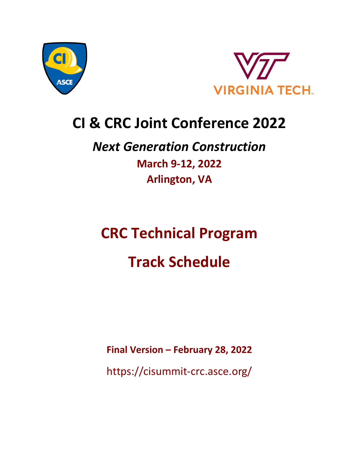



## **CI & CRC Joint Conference 2022**

### *Next Generation Construction* **March 9-12, 2022 Arlington, VA**

# **CRC Technical Program Track Schedule**

**Final Version – February 28, 2022**

https://cisummit-crc.asce.org/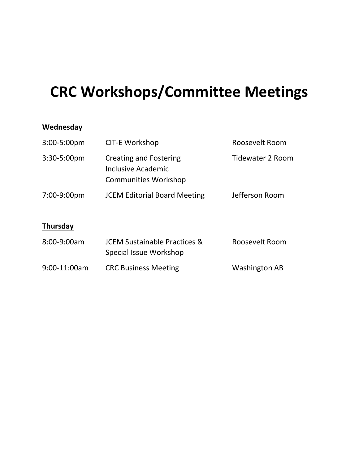# **CRC Workshops/Committee Meetings**

#### **Wednesday**

| 3:00-5:00pm | <b>CIT-E Workshop</b>                                                                                                | Roosevelt Room |
|-------------|----------------------------------------------------------------------------------------------------------------------|----------------|
| 3:30-5:00pm | <b>Tidewater 2 Room</b><br><b>Creating and Fostering</b><br><b>Inclusive Academic</b><br><b>Communities Workshop</b> |                |
| 7:00-9:00pm | <b>JCEM Editorial Board Meeting</b>                                                                                  | Jefferson Room |
| Thursday    |                                                                                                                      |                |
| 8:00-9:00am | <b>JCEM Sustainable Practices &amp;</b>                                                                              | Roosevelt Room |

|              | Special Issue Workshop      |                      |  |
|--------------|-----------------------------|----------------------|--|
| 9:00-11:00am | <b>CRC Business Meeting</b> | <b>Washington AB</b> |  |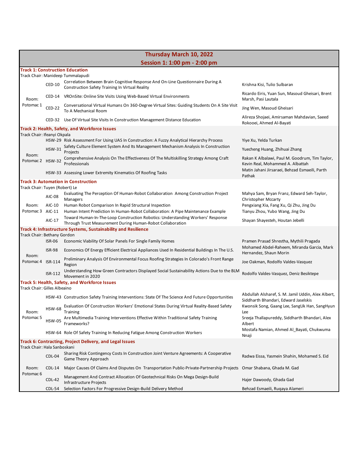|                                                                   | Thursday March 10, 2022      |                                                                                                                                                                         |                                                                                                                                      |  |
|-------------------------------------------------------------------|------------------------------|-------------------------------------------------------------------------------------------------------------------------------------------------------------------------|--------------------------------------------------------------------------------------------------------------------------------------|--|
|                                                                   | Session 1: 1:00 pm - 2:00 pm |                                                                                                                                                                         |                                                                                                                                      |  |
|                                                                   |                              | <b>Track 1: Construction Education</b>                                                                                                                                  |                                                                                                                                      |  |
|                                                                   | CED-10                       | Track Chair: Manideep Tummalapudi<br>Correlation Between Brain Cognitive Response And On-Line Questionnaire During A<br>Construction Safety Training In Virtual Reality | Krishna Kisi, Tulio Sulbaran                                                                                                         |  |
| Room:                                                             |                              | CED-14 VROnSite: Online Site Visits Using Web-Based Virtual Environments                                                                                                | Ricardo Eiris, Yuan Sun, Masoud Gheisari, Brent<br>Marsh, Pasi Lautala                                                               |  |
| Potomac 1                                                         | <b>CED-22</b>                | Conversational Virtual Humans On 360-Degree Virtual Sites: Guiding Students On A Site Visit<br>To A Mechanical Room                                                     | Jing Wen, Masoud Gheisari                                                                                                            |  |
|                                                                   |                              | CED-32 Use Of Virtual Site Visits In Construction Management Distance Education                                                                                         | Alireza Shojaei, Amirsaman Mahdavian, Saeed<br>Rokooei, Ahmed Al-Bayati                                                              |  |
|                                                                   |                              | Track 2: Health, Safety, and Workforce Issues                                                                                                                           |                                                                                                                                      |  |
| Track Chair: Ifeanyi Okpala                                       |                              | HSW-29 Risk Assessment For Using UAS In Construction: A Fuzzy Analytical Hierarchy Process                                                                              | Yiye Xu, Yelda Turkan                                                                                                                |  |
|                                                                   | <b>HSW-31</b>                | Safety Culture Element System And Its Management Mechanism Analysis In Construction                                                                                     | Yuecheng Huang, Zhihuai Zhang                                                                                                        |  |
| Room:                                                             |                              | Projects                                                                                                                                                                |                                                                                                                                      |  |
| Potomac 2 HSW-32                                                  |                              | Comprehensive Analysis On The Effectiveness Of The Multiskilling Strategy Among Craft<br>Professionals                                                                  | Rakan K Albalawi, Paul M. Goodrum, Tim Taylor,<br>Kevin Real, Mohammed A. Albattah<br>Matin Jahani Jirsaraei, Behzad Esmaeili, Parth |  |
|                                                                   |                              | HSW-33 Assessing Lower Extremity Kinematics Of Roofing Tasks                                                                                                            | Pathak                                                                                                                               |  |
| Track Chair: Tuyen (Robert) Le                                    |                              | Track 3: Automation in Construction                                                                                                                                     |                                                                                                                                      |  |
|                                                                   | AIC-08                       | Evaluating The Perception Of Human-Robot Collaboration Among Construction Project<br>Managers                                                                           | Mahya Sam, Bryan Franz, Edward Seh-Taylor,<br><b>Christopher Mccarty</b>                                                             |  |
| Room:                                                             | AIC-10                       | Human Robot Comparison In Rapid Structural Inspection                                                                                                                   | Pengxiang Xia, Fang Xu, Qi Zhu, Jing Du                                                                                              |  |
| Potomac 3 AIC-11                                                  | AIC-17                       | Human Intent Prediction In Human-Robot Collaboration: A Pipe Maintenance Example<br>Toward Human-In-The-Loop Construction Robotics: Understanding Workers' Response     | Tianyu Zhou, Yubo Wang, Jing Du<br>Shayan Shayesteh, Houtan Jebelli                                                                  |  |
|                                                                   |                              | Through Trust Measurement During Human-Robot Collaboration<br>Track 4: Infrastructure Systems, Sustainability and Resilience                                            |                                                                                                                                      |  |
| Track Chair: Bethany Gordon                                       |                              |                                                                                                                                                                         |                                                                                                                                      |  |
|                                                                   | ISR-06                       | Economic Viability Of Solar Panels For Single Family Homes                                                                                                              | Pramen Prasad Shrestha, Mythili Pragada                                                                                              |  |
| Room:                                                             | <b>ISR-98</b>                | Economics Of Energy Efficient Electrical Appliances Used In Residential Buildings In The U.S.                                                                           | Mohamed Abdel-Raheem, Miranda Garcia, Mark<br>Hernandez, Shaun Morin                                                                 |  |
| Potomac 4                                                         | ISR-114                      | Preliminary Analysis Of Environmental Focus Roofing Strategies In Colorado's Front Range<br>Region                                                                      | Joe Oakman, Rodolfo Valdes-Vasquez                                                                                                   |  |
|                                                                   | ISR-112                      | Understanding How Green Contractors Displayed Social Sustainability Actions Due to the BLM<br>Movement in 2020                                                          | Rodolfo Valdes-Vasquez, Deniz Besiktepe                                                                                              |  |
| Track Chair: Gilles Albeaino                                      |                              | Track 5: Health, Safety, and Workforce Issues                                                                                                                           |                                                                                                                                      |  |
|                                                                   |                              | HSW-43 Construction Safety Training Interventions: State Of The Science And Future Opportunities                                                                        | Abdullah Alsharef, S. M. Jamil Uddin, Alex Albert,                                                                                   |  |
|                                                                   | <b>HSW-68</b>                | Evaluation Of Construction Workers' Emotional States During Virtual Reality-Based Safety                                                                                | Siddharth Bhandari, Edward Jaselskis<br>Kwonsik Song, Gaang Lee, SangUk Han, SangHyun                                                |  |
| Room:<br>Potomac <sub>5</sub>                                     | <b>HSW-05</b>                | Training<br>Are Multimedia Training Interventions Effective Within Traditional Safety Training<br>Frameworks?                                                           | Lee<br>Sreeja Thallapureddy, Siddharth Bhandari, Alex                                                                                |  |
|                                                                   |                              | HSW-64 Role Of Safety Training In Reducing Fatigue Among Construction Workers                                                                                           | Albert<br>Mostafa Namian, Ahmed Al_Bayati, Chukwuma                                                                                  |  |
| Nnaji<br>Track 6: Contracting, Project Delivery, and Legal Issues |                              |                                                                                                                                                                         |                                                                                                                                      |  |
|                                                                   | Track Chair: Hala Sanboskani |                                                                                                                                                                         |                                                                                                                                      |  |
|                                                                   | CDL-04                       | Sharing Risk Contingency Costs In Construction Joint Venture Agreements: A Cooperative<br>Game Theory Approach                                                          | Radwa Eissa, Yasmein Shahin, Mohamed S. Eid                                                                                          |  |
| Room:<br>Potomac <sub>6</sub>                                     | $CDL-14$                     | Major Causes Of Claims And Disputes On Transportation Public-Private-Partnership Projects                                                                               | Omar Shabana, Ghada M. Gad                                                                                                           |  |
|                                                                   | <b>CDL-42</b>                | Management And Contract Allocation Of Geotechnical Risks On Mega Design-Build<br>Infrastructure Projects                                                                | Hajer Dawoody, Ghada Gad                                                                                                             |  |
|                                                                   | CDL-54                       | Selection Factors For Progressive Design-Build Delivery Method                                                                                                          | Behzad Esmaeili, Rugaya Alameri                                                                                                      |  |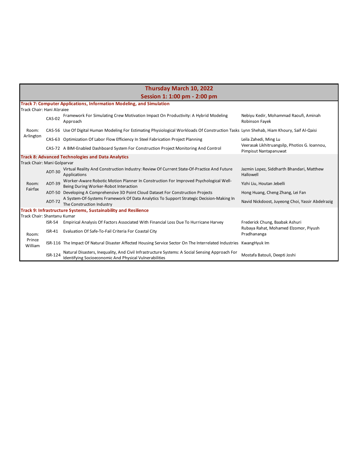| Thursday March 10, 2022     |               |                                                                                                                                                          |                                                                        |  |
|-----------------------------|---------------|----------------------------------------------------------------------------------------------------------------------------------------------------------|------------------------------------------------------------------------|--|
|                             |               | Session 1: 1:00 pm - 2:00 pm                                                                                                                             |                                                                        |  |
|                             |               | <b>Track 7: Computer Applications, Information Modeling, and Simulation</b>                                                                              |                                                                        |  |
| Track Chair: Hani Alzraiee  |               |                                                                                                                                                          |                                                                        |  |
|                             | <b>CAS-02</b> | Framework For Simulating Crew Motivation Impact On Productivity: A Hybrid Modeling<br>Approach                                                           | Nebiyu Kedir, Mohammad Raoufi, Aminah<br>Robinson Fayek                |  |
| Room:                       |               | CAS-56 Use Of Digital Human Modeling For Estimating Physiological Workloads Of Construction Tasks Lynn Shehab, Hiam Khoury, Saif Al-Qaisi                |                                                                        |  |
| Arlington                   |               | CAS-63 Optimization Of Labor Flow Efficiency In Steel Fabrication Project Planning                                                                       | Leila Zahedi, Ming Lu                                                  |  |
|                             |               | CAS-72 A BIM-Enabled Dashboard System For Construction Project Monitoring And Control                                                                    | Veerasak Likhitruangsilp, Photios G. Ioannou,<br>Pimpisut Nantapanuwat |  |
|                             |               | <b>Track 8: Advanced Technologies and Data Analytics</b>                                                                                                 |                                                                        |  |
| Track Chair: Mani Golparvar |               |                                                                                                                                                          |                                                                        |  |
|                             | ADT-30        | Virtual Reality And Construction Industry: Review Of Current State-Of-Practice And Future<br>Applications                                                | Jazmin Lopez, Siddharth Bhandari, Matthew<br>Hallowell                 |  |
| Room:<br>Fairfax            | ADT-39        | Worker-Aware Robotic Motion Planner In Construction For Improved Psychological Well-<br>Being During Worker-Robot Interaction                            | Yizhi Liu, Houtan Jebelli                                              |  |
|                             |               | ADT-50 Developing A Comprehensive 3D Point Cloud Dataset For Construction Projects                                                                       | Hong Huang, Cheng Zhang, Lei Fan                                       |  |
|                             | <b>ADT-72</b> | A System-Of-Systems Framework Of Data Analytics To Support Strategic Decision-Making In<br>The Construction Industry                                     | Navid Nickdoost, Juyeong Choi, Yassir Abdelrazig                       |  |
|                             |               | Track 9: Infrastructure Systems, Sustainability and Resilience                                                                                           |                                                                        |  |
| Track Chair: Shantanu Kumar |               |                                                                                                                                                          |                                                                        |  |
|                             | <b>ISR-54</b> | Empirical Analysis Of Factors Associated With Financial Loss Due To Hurricane Harvey                                                                     | Frederick Chung, Baabak Ashuri                                         |  |
| Room:                       | ISR-41        | Evaluation Of Safe-To-Fail Criteria For Coastal City                                                                                                     | Rubaya Rahat, Mohamed Elzomor, Piyush<br>Pradhananga                   |  |
| Prince<br>William           |               | ISR-116 The Impact Of Natural Disaster Affected Housing Service Sector On The Interrelated Industries KwangHyuk Im                                       |                                                                        |  |
|                             | ISR-124       | Natural Disasters, Inequality, And Civil Infrastructure Systems: A Social Sensing Approach For<br>Identifying Socioeconomic And Physical Vulnerabilities | Mostafa Batouli, Deepti Joshi                                          |  |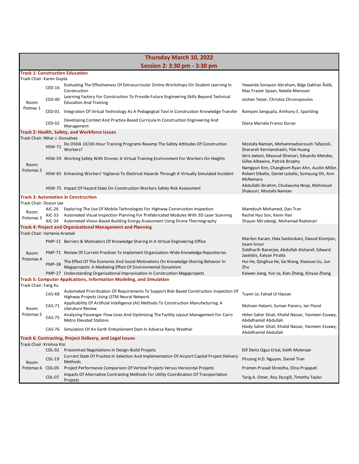| Thursday March 10, 2022                                  |                              |                                                                                                                                                                              |                                                                                                               |  |  |
|----------------------------------------------------------|------------------------------|------------------------------------------------------------------------------------------------------------------------------------------------------------------------------|---------------------------------------------------------------------------------------------------------------|--|--|
|                                                          | Session 2: 2:30 pm - 3:30 pm |                                                                                                                                                                              |                                                                                                               |  |  |
|                                                          |                              | <b>Track 1: Construction Education</b>                                                                                                                                       |                                                                                                               |  |  |
| Track Chair: Karen Gupta                                 | CED-16                       | Evaluating The Effectiveness Of Extracurricular Online Workshops On Student Learning In<br>Construction                                                                      | Yewande Sonayon Abraham, Bilge Gakhan Äelik,<br>Max Frasier Spaan, Natalie Mansson                            |  |  |
| Room:                                                    | CED-40                       | Learning Factory For Construction To Provide Future Engineering Skills Beyond Technical<br><b>Education And Training</b>                                                     | Jochen Teizer, Christos Chronopoulos                                                                          |  |  |
| Potmac 1                                                 | CED-01                       | Integration Of Virtual Technology As A Pedagogical Tool In Construction Knowledge Transfer                                                                                   | Ramyani Sengupta, Anthony E. Sparkling                                                                        |  |  |
|                                                          | CED-02                       | Developing Context And Practice-Based Curricula In Construction Engineering And<br>Management                                                                                | Diana Marcela Franco Duran                                                                                    |  |  |
|                                                          |                              | Track 2: Health, Safety, and Workforce Issues                                                                                                                                |                                                                                                               |  |  |
| Track Chair: Nihar J. Gonsalves                          |                              | Do OSHA 10/30-Hour Training Programs Revamp The Safety Attitudes Of Construction                                                                                             | Mostafa Namian, Mohammadsoroush Tafazzoli,                                                                    |  |  |
|                                                          | <b>HSW-71</b>                | Workers?                                                                                                                                                                     | Sharareh Kermanshachi, Yilei Huang<br>Idris Jeelani, Masoud Gheisari, Eduardo Mendes,                         |  |  |
| Room:                                                    |                              | HSW-59 Working Safely With Drones: A Virtual Training Environment For Workers On Heights                                                                                     | Gilles Albeaino, Patrick Brophy                                                                               |  |  |
| Potomac 2                                                |                              | HSW-65 Enhancing Workers' Vigilance To Electrical Hazards Through A Virtually Simulated Accident                                                                             | Namgyun Kim, Changbum Ryan Ahn, Austin Miller,<br>Robert Dibello, Daniel Lobello, Somyung Oh, Ann<br>McNamara |  |  |
|                                                          |                              | HSW-75 Impact Of Hazard State On Construction Workers Safety Risk Assessment                                                                                                 | Abdullahi Ibrahim, Chukwuma Nnaji, Mahmoud<br>Shakouri, Mostafa Namian                                        |  |  |
|                                                          |                              | <b>Track 3: Automation in Construction</b>                                                                                                                                   |                                                                                                               |  |  |
| Track Chair: Doyun Lee                                   |                              |                                                                                                                                                                              |                                                                                                               |  |  |
| Room:<br>Potomac <sub>3</sub>                            | AIC-26                       | Exploring The Use Of Mobile Technologies For Highway Construction Inspection<br>AIC-33 Automated Visual Inspection Planning For Prefabricated Modules With 3D Laser Scanning | Mamdouh Mohamed, Dan Tran<br>Rachel Hyo Son, Kevin Han                                                        |  |  |
|                                                          | $AIC-34$                     | Automated Vision-Based Building Energy Assessment Using Drone Thermography                                                                                                   | Shayan Mirzabeigi, Mohamad Razkenari                                                                          |  |  |
| Track Chair: Vartenie Aramali                            |                              | <b>Track 4: Project and Organizational Management and Planning</b>                                                                                                           |                                                                                                               |  |  |
|                                                          |                              | PMP-11 Barriers & Motivators Of Knowledge Sharing In A Virtual Engineering Office                                                                                            | Marilyn Karam, Hala Sanboskani, Daoud Kiomjian,<br><b>Issam Srour</b>                                         |  |  |
| Room:                                                    |                              | PMP-71 Review Of Current Practices To Implement Organization-Wide Knowledge Repositories                                                                                     | Siddharth Banerjee, Abdullah Alsharef, Edward<br>Jaselskis, Kalyan Piratla                                    |  |  |
| Potomac 4                                                | <b>PMP-38</b>                | The Effect Of The Economic And Social Motivations On Knowledge Sharing Behavior In<br>Megaprojects: A Mediating Effect Of Environmental Dynamism                             | Hui He, Qinghua He, Ge Wang, Xiaoxue Liu, Jun<br>Zhu                                                          |  |  |
|                                                          |                              | PMP-27 Understanding Organizational Improvisation In Construction Megaprojects                                                                                               | Kaiwen Jiang, Yun Le, Xian Zheng, Xinyue Zhang                                                                |  |  |
| Track Chair: Fang Xu                                     |                              | <b>Track 5: Computer Applications, Information Modeling, and Simulation</b>                                                                                                  |                                                                                                               |  |  |
|                                                          | <b>CAS-68</b>                | Automated Prioritization Of Requirements To Support Risk-Based Construction Inspection Of<br>Highway Projects Using LSTM Neural Network                                      | Tuyen Le, Fahad Ul Hassan                                                                                     |  |  |
| Room:                                                    | CAS-71                       | Applicability Of Artificial Intelligence (AI) Methods To Construction Manufacturing: A<br>Literature Review                                                                  | Mohsen Hatami, Suman Paneru, Ian Flood                                                                        |  |  |
| Potomac <sub>5</sub>                                     | <b>CAS-75</b>                | Analyzing Passenger Flow Lines And Optimizing The Facility Layout Management For Cairo<br><b>Metro Elevated Stations</b>                                                     | Helen Saher Ghali, Khalid Nassar, Yasmeen Essawy,<br>Abdelhamid Abdullah                                      |  |  |
|                                                          |                              | CAS-76 Simulation Of An Earth Embankment Dam In Adverse Rainy Weather                                                                                                        | Haidy Saher Ghali, Khalid Nassar, Yasmeen Essawy,<br>Abdelhamid Abdullah                                      |  |  |
| Track 6: Contracting, Project Delivery, and Legal Issues |                              |                                                                                                                                                                              |                                                                                                               |  |  |
| Track Chair: Krishna Kisi                                | $CDL-02$                     |                                                                                                                                                                              |                                                                                                               |  |  |
|                                                          |                              | Precontract Negotiations In Design-Build Projects<br>Current State Of Practice In Selection And Implementation Of Airport Capital Project Delivery                           | Elif Deniz Oguz Erkal, Keith Molenaar                                                                         |  |  |
| Room:                                                    | $CDL-19$                     | Methods                                                                                                                                                                      | Phuong H.D. Nguyen, Daniel Tran                                                                               |  |  |
| Potomac 6                                                | CDL-05                       | Project Performance Comparison Of Vertical Projects Versus Horizontal Projects<br>Impacts Of Alternative Contracting Methods For Utility Coordination Of Transportation      | Pramen Prasad Shrestha, Elina Prajapati                                                                       |  |  |
|                                                          | <b>CDL-07</b>                | Projects                                                                                                                                                                     | Tarig A. Omer, Roy Sturgill, Timothy Taylor                                                                   |  |  |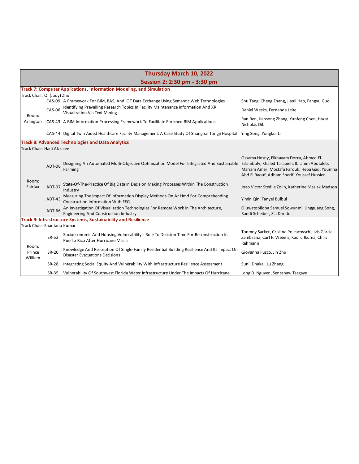| Thursday March 10, 2022     |               |                                                                                                                                      |                                                                                                                                                                                          |
|-----------------------------|---------------|--------------------------------------------------------------------------------------------------------------------------------------|------------------------------------------------------------------------------------------------------------------------------------------------------------------------------------------|
|                             |               | Session 2: 2:30 pm - 3:30 pm                                                                                                         |                                                                                                                                                                                          |
|                             |               | Track 7: Computer Applications, Information Modeling, and Simulation                                                                 |                                                                                                                                                                                          |
| Track Chair: Qi (Judy) Zhu  |               |                                                                                                                                      |                                                                                                                                                                                          |
|                             |               | CAS-09 A Framework For BIM, BAS, And IOT Data Exchange Using Semantic Web Technologies                                               | Shu Tang, Cheng Zhang, Jianli Hao, Fangyu Guo                                                                                                                                            |
|                             | CAS-06        | Identifying Prevailing Research Topics In Facility Maintenance Information And XR<br><b>Visualization Via Text Mining</b>            | Daniel Weeks, Fernanda Leite                                                                                                                                                             |
| Room:<br>Arlington          |               | CAS-43 A BIM Information Processing Framework To Facilitate Enriched BIM Applications                                                | Ran Ren, Jiansong Zhang, Yunfeng Chen, Hazar<br>Nicholas Dib                                                                                                                             |
|                             |               | CAS-44 Digital Twin Aided Healthcare Facility Management: A Case Study Of Shanghai Tongji Hospital                                   | Ying Song, Yongkui Li                                                                                                                                                                    |
| Track Chair: Hani Alzraiee  |               | <b>Track 8: Advanced Technologies and Data Analytics</b>                                                                             |                                                                                                                                                                                          |
|                             | ADT-06        | Designing An Automated Multi-Objective Optimization Model For Integrated And Sustainable<br>Farming                                  | Ossama Hosny, Elkhayam Dorra, Ahmed El-<br>Eslamboly, Khaled Tarabieh, Ibrahim Abotaleb,<br>Mariam Amer, Mostafa Farouk, Heba Gad, Youmna<br>Abd El Raouf, Adham Sherif, Youssef Hussien |
| Room:<br>Fairfax            | ADT-07        | State-Of-The-Practice Of Big Data In Decision Making Processes Within The Construction<br>Industry                                   | Joao Victor Stedile Zolin, Katherine Maslak Madson                                                                                                                                       |
|                             | ADT-43        | Measuring The Impact Of Information Display Methods On Ar Hmd For Comprehending<br><b>Construction Information With EEG</b>          | Yimin Qin, Tanyel Bulbul                                                                                                                                                                 |
|                             | ADT-66        | An Investigation Of Visualization Technologies For Remote Work In The Architecture,<br><b>Engineering And Construction Industry</b>  | Oluwatobiloba Samuel Sowunmi, Lingguang Song,<br>Randi Scheiber, Zia Din Ud                                                                                                              |
|                             |               | Track 9: Infrastructure Systems, Sustainability and Resilience                                                                       |                                                                                                                                                                                          |
| Track Chair: Shantanu Kumar |               |                                                                                                                                      |                                                                                                                                                                                          |
| Room:<br>Prince<br>William  | <b>ISR-52</b> | Socioeconomic And Housing Vulnerability's Role To Decision Time For Reconstruction In<br>Puerto Rico After Hurricane Maria           | Tonmoy Sarker, Cristina Poleacovschi, Ivis Garcia<br>Zambrana, Carl F. Weems, Kaoru Ikuma, Chris<br>Rehmann                                                                              |
|                             | <b>ISR-20</b> | Knowledge And Perception Of Single-Family Residential Building Resilience And Its Impact On<br><b>Disaster Evacuations Decisions</b> | Giovanna Fusco, Jin Zhu                                                                                                                                                                  |
|                             | <b>ISR-28</b> | Integrating Social Equity And Vulnerability With Infrastructure Resilience Assessment                                                | Sunil Dhakal, Lu Zhang                                                                                                                                                                   |
|                             | ISR-35        | Vulnerability Of Southwest Florida Water Infrastructure Under The Impacts Of Hurricane                                               | Long D. Nguyen, Seneshaw Tsegaye                                                                                                                                                         |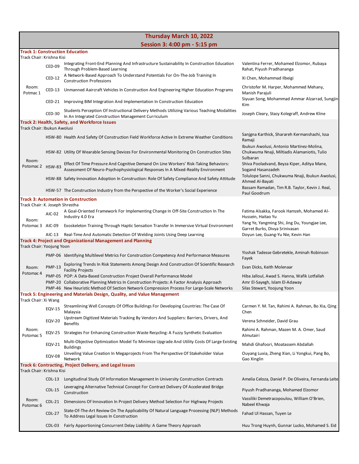| Thursday March 10, 2022                                                               |               |                                                                                                                                                                                                                                                                      |                                                                                                               |  |
|---------------------------------------------------------------------------------------|---------------|----------------------------------------------------------------------------------------------------------------------------------------------------------------------------------------------------------------------------------------------------------------------|---------------------------------------------------------------------------------------------------------------|--|
|                                                                                       |               | Session 3: 4:00 pm - 5:15 pm                                                                                                                                                                                                                                         |                                                                                                               |  |
| Track Chair: Krishna Kisi                                                             |               | <b>Track 1: Construction Education</b>                                                                                                                                                                                                                               |                                                                                                               |  |
|                                                                                       | CED-09        | Integrating Front-End Planning And Infrastructure Sustainability In Construction Education<br>Through Problem-Based Learning                                                                                                                                         | Valentina Ferrer, Mohamed Elzomor, Rubaya<br>Rahat, Piyush Pradhananga                                        |  |
|                                                                                       | $CED-12$      | A Network-Based Approach To Understand Potentials For On-The-Job Training In<br><b>Construction Professions</b>                                                                                                                                                      | Xi Chen, Mohammad Ilbeigi                                                                                     |  |
| Room:<br>Potmac 1                                                                     |               | CED-13 Unmanned Aaircraft Vehicles In Construction And Engineering Higher Education Programs                                                                                                                                                                         | Christofer M. Harper, Mohammed Mehany,<br>Manish Parajuli                                                     |  |
|                                                                                       | CED-21        | Improving BIM Integration And Implementation In Construction Education                                                                                                                                                                                               | Siyuan Song, Mohammad Ammar Alzarrad, Sungjin<br>Kim                                                          |  |
|                                                                                       | $CED-30$      | Students Perception Of Instructional Delivery Methods Utilizing Various Teaching Modalities<br>In An Integrated Construction Management Curriculum                                                                                                                   | Joseph Cleary, Stacy Kolegraff, Andrew Kline                                                                  |  |
| Track Chair: Ibukun Awolusi                                                           |               | Track 2: Health, Safety, and Workforce Issues                                                                                                                                                                                                                        |                                                                                                               |  |
|                                                                                       |               | HSW-80 Health And Safety Of Construction Field Workforce Active In Extreme Weather Conditions                                                                                                                                                                        | Sanjgna Karthick, Sharareh Kermanshachi, Issa<br>Ramaji                                                       |  |
|                                                                                       |               | HSW-82 Utility Of Wearable Sensing Devices For Environmental Monitoring On Construction Sites                                                                                                                                                                        | Ibukun Awolusi, Antonio Martinez-Molina,<br>Chukwuma Nnaji, Miltiadis Alamaniotis, Tulio<br>Sulbaran          |  |
| Room:<br>Potomac 2 HSW-83                                                             |               | Effect Of Time Pressure And Cognitive Demand On Line Workers' Risk-Taking Behaviors:<br>Assessment Of Neuro-Psychophysiological Responses In A Mixed-Reality Environment                                                                                             | Shiva Pooladvand, Beyza Kiper, Aditya Mane,<br>Sogand Hasanzadeh                                              |  |
|                                                                                       |               | HSW-88 Safety Innovation Adoption In Construction: Role Of Safety Compliance And Safety Attitude                                                                                                                                                                     | Tolulope Sanni, Chukwuma Nnaji, Ibukun Awolusi,<br>Ahmed Al-Bayati                                            |  |
|                                                                                       |               | HSW-57 The Construction Industry from the Perspective of the Worker's Social Experience                                                                                                                                                                              | Bassam Ramadan, Tim R.B. Taylor, Kevin J. Real,<br>Paul Goodrum                                               |  |
| Track Chair: K. Joseph Shrestha                                                       |               | <b>Track 3: Automation in Construction</b>                                                                                                                                                                                                                           |                                                                                                               |  |
| Room:                                                                                 | AIC-02        | A Goal-Oriented Framework For Implementing Change In Off-Site Construction In The<br>Industry 4.0 Era                                                                                                                                                                | Fatima Alsakka, Farook Hamzeh, Mohamed Al-<br>Hussein, Haitao Yu                                              |  |
| Potomac 3 AIC-09                                                                      |               | Exoskeleton Training Through Haptic Sensation Transfer In Immersive Virtual Environment                                                                                                                                                                              | Yang Ye, Yangming Shi, Jing Du, Youngjae Lee,<br>Garret Burks, Divya Srinivasan                               |  |
|                                                                                       | AIC-13        | Real-Time And Automatic Detection Of Welding Joints Using Deep Learning<br>Track 4: Project and Organizational Management and Planning                                                                                                                               | Doyun Lee, Guang-Yu Nie, Kevin Han                                                                            |  |
| Track Chair: Yoojung Yoon                                                             |               |                                                                                                                                                                                                                                                                      |                                                                                                               |  |
|                                                                                       |               | PMP-06 Identifying Multilevel Metrics For Construction Competency And Performance Measures                                                                                                                                                                           | Yisshak Tadesse Gebretekle, Aminah Robinson<br>Fayek                                                          |  |
| Room:<br>Potomac <sub>4</sub>                                                         | <b>PMP-13</b> | Exploring Trends In Risk Statements Among Design And Construction Of Scientific Research<br><b>Facility Projects</b>                                                                                                                                                 | Evan Dicks, Keith Molenaar                                                                                    |  |
|                                                                                       |               | PMP-05 POP: A Data-Based Construction Project Overall Performance Model<br>PMP-20 Collaborative Planning Metrics In Construction Projects: A Factor Analysis Approach<br>PMP-46 New Heuristic Method Of Section Network Compression Process For Large-Scale Networks | Hiba Jalloul, Awad S. Hanna, Wafik Lotfallah<br>Amr El-Sayegh, Islam El-Adaway<br>Silas Stewart, Yoojung Yoon |  |
|                                                                                       |               | Track 5: Engineering and Materials Design, Quality, and Value Management                                                                                                                                                                                             |                                                                                                               |  |
| Track Chair: Xi Wang                                                                  | <b>EQV-15</b> | Streamlining Well Concepts Of Office Buildings For Developing Countries: The Case Of<br>Malavsia                                                                                                                                                                     | Carmen Y. M. Tan, Rahimi A. Rahman, Bo Xia, Qing<br>Chen                                                      |  |
|                                                                                       | <b>EQV-20</b> | Upstream Digitized Materials Tracking By Vendors And Suppliers: Barriers, Drivers, And                                                                                                                                                                               | Verena Schneider, David Grau                                                                                  |  |
| Room:<br>Potomac <sub>5</sub>                                                         |               | <b>Benefits</b><br>EQV-25 Strategies For Enhancing Construction Waste Recycling: A Fuzzy Synthetic Evaluation                                                                                                                                                        | Rahimi A. Rahman, Mazen M. A. Omer, Saud<br>Almutairi                                                         |  |
|                                                                                       | EQV-21        | Multi-Objective Optimization Model To Minimize Upgrade And Utility Costs Of Large Existing<br><b>Buildings</b>                                                                                                                                                       | Mahdi Ghafoori, Moatassem Abdallah                                                                            |  |
|                                                                                       | <b>EQV-08</b> | Unveiling Value Creation In Megaprojects From The Perspective Of Stakeholder Value<br>Network                                                                                                                                                                        | Ouyang Luxia, Zheng Xian, Li Yongkui, Pang Bo,<br>Gao Xinglin                                                 |  |
| Track 6: Contracting, Project Delivery, and Legal Issues<br>Track Chair: Krishna Kisi |               |                                                                                                                                                                                                                                                                      |                                                                                                               |  |
|                                                                                       | $CDL-13$      | Longitudinal Study Of Information Management In University Construction Contracts                                                                                                                                                                                    | Amelia Celoza, Daniel P. De Oliveira, Fernanda Leite                                                          |  |
|                                                                                       | $CDL-15$      | Leveraging Alternative Technical Concept For Contract Delivery Of Accelerated Bridge<br>Construction                                                                                                                                                                 | Piyush Pradhananga, Mohamed Elzomor                                                                           |  |
| Room:                                                                                 | $CDL-21$      | Dimensions Of Innovation In Project Delivery Method Selection For Highway Projects                                                                                                                                                                                   | Vassiliki Demetracopoulou, William O'Brien,<br>Nabeel Khwaja                                                  |  |
| Potomac <sub>6</sub>                                                                  | <b>CDL-27</b> | State-Of-The-Art Review On The Applicability Of Natural Language Processing (NLP) Methods<br>To Address Legal Issues In Construction                                                                                                                                 | Fahad Ul Hassan, Tuyen Le                                                                                     |  |
|                                                                                       | CDL-03        | Fairly Apportioning Concurrent Delay Liability: A Game Theory Approach                                                                                                                                                                                               | Huu Trong Huynh, Gunnar Lucko, Mohamed S. Eid                                                                 |  |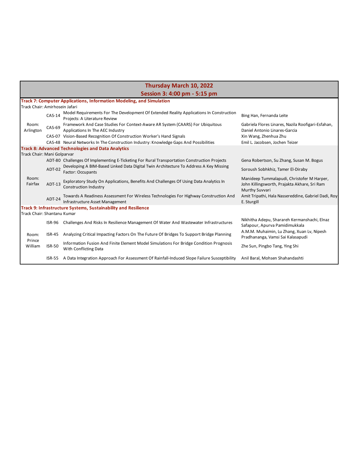|                                |               | Thursday March 10, 2022                                                                                                  |                                                                                                              |
|--------------------------------|---------------|--------------------------------------------------------------------------------------------------------------------------|--------------------------------------------------------------------------------------------------------------|
|                                |               | Session 3: 4:00 pm - 5:15 pm                                                                                             |                                                                                                              |
|                                |               | <b>Track 7: Computer Applications, Information Modeling, and Simulation</b>                                              |                                                                                                              |
| Track Chair: Amirhosein Jafari |               |                                                                                                                          |                                                                                                              |
|                                | $CAS-14$      | Model Requirements For The Development Of Extended Reality Applications In Construction<br>Projects: A Literature Review | Bing Han, Fernanda Leite                                                                                     |
| Room:<br>Arlington             | CAS-69        | Framework And Case Studies For Context-Aware AR System (CAARS) For Ubiquitous<br>Applications In The AEC Industry        | Gabriela Flores Linares, Nazila Roofigari-Esfahan,<br>Daniel Antonio Linares-Garcia                          |
|                                |               | CAS-07 Vision-Based Recognition Of Construction Worker's Hand Signals                                                    | Xin Wang, Zhenhua Zhu                                                                                        |
|                                |               | CAS-48 Neural Networks In The Construction Industry: Knowledge Gaps And Possibilities                                    | Emil L. Jacobsen, Jochen Teizer                                                                              |
|                                |               | <b>Track 8: Advanced Technologies and Data Analytics</b>                                                                 |                                                                                                              |
| Track Chair: Mani Golparvar    |               |                                                                                                                          |                                                                                                              |
|                                |               | ADT-80 Challenges Of Implementing E-Ticketing For Rural Transportation Construction Projects                             | Gena Robertson, Su Zhang, Susan M. Bogus                                                                     |
|                                | ADT-02        | Developing A BIM-Based Linked Data Digital Twin Architecture To Address A Key Missing<br>Factor: Occupants               | Soroush Sobhkhiz, Tamer El-Diraby                                                                            |
| Room:<br>Fairfax               | $ADT-13$      | Exploratory Study On Applications, Benefits And Challenges Of Using Data Analytics In<br>Construction Industry           | Manideep Tummalapudi, Christofer M Harper,<br>John Killingsworth, Prajakta Akhare, Sri Ram<br>Murthy Suvvari |
|                                | ADT-24        | Towards A Readiness Assessment For Wireless Technologies For Highway Construction And<br>Infrastructure Asset Management | Amit Tripathi, Hala Nassereddine, Gabriel Dadi, Roy<br>E. Sturgill                                           |
|                                |               | Track 9: Infrastructure Systems, Sustainability and Resilience                                                           |                                                                                                              |
| Track Chair: Shantanu Kumar    |               |                                                                                                                          |                                                                                                              |
|                                | ISR-96        | Challenges And Risks In Resilience Management Of Water And Wastewater Infrastructures                                    | Nikhitha Adepu, Sharareh Kermanshachi, Elnaz<br>Safapour, Apurva Pamidimukkala                               |
| Room:<br>Prince                | $ISR-45$      | Analyzing Critical Impacting Factors On The Future Of Bridges To Support Bridge Planning                                 | A.M.M. Muhaimin, Lu Zhang, Xuan Lv, Nipesh<br>Pradhananga, Vamsi Sai Kalasapudi                              |
| William                        | <b>ISR-50</b> | Information Fusion And Finite Element Model Simulations For Bridge Condition Prognosis<br>With Conflicting Data          | Zhe Sun, Pingbo Tang, Ying Shi                                                                               |
|                                |               | ISR-55 A Data Integration Approach For Assessment Of Rainfall-Induced Slope Failure Susceptibility                       | Anil Baral, Mohsen Shahandashti                                                                              |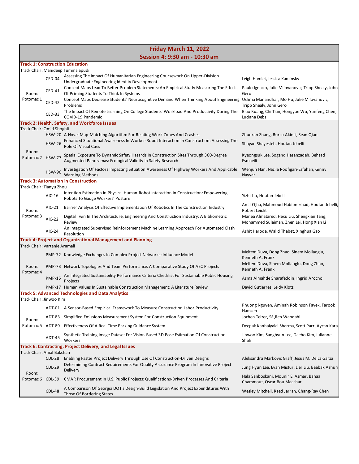|                               | Friday March 11, 2022 |                                                                                                                                                                      |                                                                                         |  |
|-------------------------------|-----------------------|----------------------------------------------------------------------------------------------------------------------------------------------------------------------|-----------------------------------------------------------------------------------------|--|
|                               |                       | Session 4: 9:30 am - 10:30 am                                                                                                                                        |                                                                                         |  |
|                               |                       | <b>Track 1: Construction Education</b>                                                                                                                               |                                                                                         |  |
|                               | CED-04                | Track Chair: Manideep Tummalapudi<br>Assessing The Impact Of Humanitarian Engineering Coursework On Upper-Division<br>Undergraduate Engineering Identity Development | Leigh Hamlet, Jessica Kaminsky                                                          |  |
| Room:                         | CED-41                | Concept Maps Lead To Better Problem Statements: An Empirical Study Measuring The Effects<br>Of Priming Students To Think In Systems                                  | Paulo Ignacio, Julie Milovanovic, Tripp Shealy, John<br>Gero                            |  |
| Potomac 1                     | <b>CED-42</b>         | Concept Maps Decrease Students' Neurocognitive Demand When Thinking About Engineering Ushma Manandhar, Mo Hu, Julie Milovanovic,<br>Problems                         | Tripp Shealy, John Gero                                                                 |  |
|                               | CED-33                | The Impact Of Remote Learning On College Students' Workload And Productivity During The<br>COVID-19 Pandemic                                                         | Biao Kuang, Chi Tian, Hongyue Wu, Yunfeng Chen,<br>Luciana Debs                         |  |
| Track Chair: Omid Shoghli     |                       | Track 2: Health, Safety, and Workforce Issues                                                                                                                        |                                                                                         |  |
|                               |                       | HSW-20 A Novel Map-Matching Algorithm For Relating Work Zones And Crashes                                                                                            | Zhuoran Zhang, Burcu Akinci, Sean Qian                                                  |  |
|                               | <b>HSW-26</b>         | Enhanced Situational Awareness In Worker-Robot Interaction In Construction: Assessing The<br><b>Role Of Visual Cues</b>                                              | Shayan Shayesteh, Houtan Jebelli                                                        |  |
| Room:<br>Potomac 2 HSW-77     |                       | Spatial Exposure To Dynamic Safety Hazards In Construction Sites Through 360-Degree<br>Augmented Panoramas: Ecological Validity In Safety Research                   | Kyeongsuk Lee, Sogand Hasanzadeh, Behzad<br>Esmaeili                                    |  |
|                               | <b>HSW-96</b>         | Investigation Of Factors Impacting Situation Awareness Of Highway Workers And Applicable<br><b>Warning Methods</b>                                                   | Wenjun Han, Nazila Roofigari-Esfahan, Ginny<br>Nayyar                                   |  |
|                               |                       | <b>Track 3: Automation in Construction</b>                                                                                                                           |                                                                                         |  |
| Track Chair: Tianyu Zhou      |                       | Intention Estimation In Physical Human-Robot Interaction In Construction: Empowering                                                                                 |                                                                                         |  |
|                               | AIC-16                | Robots To Gauge Workers' Posture                                                                                                                                     | Yizhi Liu, Houtan Jebelli<br>Amit Ojha, Mahmoud Habibnezhad, Houtan Jebelli,            |  |
| Room:                         | AIC-21                | Barrier Analysis Of Effective Implementation Of Robotics In The Construction Industry                                                                                | Robert Leicht                                                                           |  |
| Potomac 3                     | $AIC-22$              | Digital Twin In The Architecture, Engineering And Construction Industry: A Bibliometric<br>Review                                                                    | Manea Almatared, Hexu Liu, Shengxian Tang,<br>Mohammed Sulaiman, Zhen Lei, Hong Xian Li |  |
|                               | AIC-24                | An Integrated Supervised Reinforcement Machine Learning Approach For Automated Clash<br>Resolution                                                                   | Ashit Harode, Walid Thabet, Xinghua Gao                                                 |  |
| Track Chair: Vartenie Aramali |                       | <b>Track 4: Project and Organizational Management and Planning</b>                                                                                                   |                                                                                         |  |
|                               |                       | PMP-72 Knowledge Exchanges In Complex Project Networks: Influence Model                                                                                              | Meltem Duva, Dong Zhao, Sinem Mollaoglu,<br>Kenneth A. Frank                            |  |
| Room:<br>Potomac <sub>4</sub> |                       | PMP-73 Network Topologies And Team Performance: A Comparative Study Of AEC Projects                                                                                  | Meltem Duva, Sinem Mollaoglu, Dong Zhao,<br>Kenneth A. Frank                            |  |
|                               | <b>PMP-15</b>         | An Integrated Sustainability Performance Criteria Checklist For Sustainable Public Housing<br>Projects                                                               | Asma Almahde Sharafeddin, Ingrid Arocho                                                 |  |
|                               |                       | PMP-17 Human Values In Sustainable Construction Management: A Literature Review                                                                                      | David Gutierrez, Leidy Klotz                                                            |  |
| Track Chair: Jinwoo Kim       |                       | <b>Track 5: Advanced Technologies and Data Analytics</b>                                                                                                             |                                                                                         |  |
|                               |                       | ADT-01 A Sensor-Based Empirical Framework To Measure Construction Labor Productivity                                                                                 | Phuong Nguyen, Aminah Robinson Fayek, Farook<br>Hamzeh                                  |  |
| Room:                         | ADT-83                | Simplified Emissions Measurement System For Construction Equipment                                                                                                   | Jochen Teizer, Sã Ren Wandahl                                                           |  |
| Potomac 5 ADT-89              |                       | Effectiveness Of A Real-Time Parking Guidance System                                                                                                                 | Deepak Kanhaiyalal Sharma, Scott Parr, Aycan Kara                                       |  |
|                               | ADT-45                | Synthetic Training Image Dataset For Vision-Based 3D Pose Estimation Of Construction<br>Workers                                                                      | Jinwoo Kim, Sanghyun Lee, Daeho Kim, Julianne<br>Shah                                   |  |
|                               |                       | Track 6: Contracting, Project Delivery, and Legal Issues                                                                                                             |                                                                                         |  |
| Track Chair: Amal Bakchan     | <b>CDL-28</b>         | Enabling Faster Project Delivery Through Use Of Construction-Driven Designs                                                                                          | Aleksandra Markovic Graff, Jesus M. De La Garza                                         |  |
|                               | <b>CDL-29</b>         | Determining Contract Requirements For Quality Assurance Program In Innovative Project                                                                                | Jung Hyun Lee, Evan Mistur, Lier Liu, Baabak Ashuri                                     |  |
| Room:<br>Potomac 6 CDL-39     |                       | Delivery<br>CMAR Procurement In U.S. Public Projects: Qualifications-Driven Processes And Criteria                                                                   | Hala Sanboskani, Mounir El Asmar, Bahaa<br>Chammout, Oscar Bou Maachar                  |  |
|                               | <b>CDL-48</b>         | A Comparison Of Georgia DOT's Design-Build Legislation And Project Expenditures With<br>Those Of Bordering States                                                    | Wesley Mitchell, Raed Jarrah, Chang-Ray Chen                                            |  |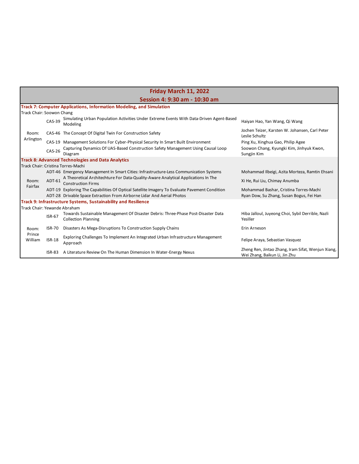| Friday March 11, 2022        |                               |                                                                                                                 |                                                                                     |  |  |
|------------------------------|-------------------------------|-----------------------------------------------------------------------------------------------------------------|-------------------------------------------------------------------------------------|--|--|
|                              | Session 4: 9:30 am - 10:30 am |                                                                                                                 |                                                                                     |  |  |
|                              |                               | <b>Track 7: Computer Applications, Information Modeling, and Simulation</b>                                     |                                                                                     |  |  |
| Track Chair: Soowon Chang    |                               |                                                                                                                 |                                                                                     |  |  |
|                              | $CAS-39$                      | Simulating Urban Population Activities Under Extreme Events With Data-Driven Agent-Based<br>Modeling            | Haiyan Hao, Yan Wang, Qi Wang                                                       |  |  |
| Room:                        |                               | CAS-46 The Concept Of Digital Twin For Construction Safety                                                      | Jochen Teizer, Karsten W. Johansen, Carl Peter<br>Leslie Schultz                    |  |  |
| Arlington                    |                               | CAS-19 Management Solutions For Cyber-Physical Security In Smart Built Environment                              | Ping Xu, Xinghua Gao, Philip Agee                                                   |  |  |
|                              | <b>CAS-26</b>                 | Capturing Dynamics Of UAS-Based Construction Safety Management Using Causal Loop<br>Diagram                     | Soowon Chang, Kyungki Kim, Jinhyuk Kwon,<br>Sungjin Kim                             |  |  |
|                              |                               | <b>Track 8: Advanced Technologies and Data Analytics</b>                                                        |                                                                                     |  |  |
|                              |                               | Track Chair: Cristina Torres-Machi                                                                              |                                                                                     |  |  |
|                              |                               | ADT-46 Emergency Management In Smart Cities: Infrastructure-Less Communication Systems                          | Mohammad Ilbeigi, Azita Morteza, Ramtin Ehsani                                      |  |  |
| Room:<br>Fairfax             | ADT-61                        | A Theoretical Architechture For Data-Quality-Aware Analytical Applications In The<br><b>Construction Firms</b>  | Xi He, Rui Liu, Chimay Anumba                                                       |  |  |
|                              |                               | ADT-19 Exploring The Capabilities Of Optical Satellite Imagery To Evaluate Pavement Condition                   | Mohammad Bashar, Cristina Torres-Machi                                              |  |  |
|                              |                               | ADT-28 Drivable Space Extraction From Airborne Lidar And Aerial Photos                                          | Ryan Dow, Su Zhang, Susan Bogus, Fei Han                                            |  |  |
|                              |                               | <b>Track 9: Infrastructure Systems, Sustainability and Resilience</b>                                           |                                                                                     |  |  |
| Track Chair: Yewande Abraham |                               |                                                                                                                 |                                                                                     |  |  |
|                              | <b>ISR-67</b>                 | Towards Sustainable Management Of Disaster Debris: Three-Phase Post-Disaster Data<br><b>Collection Planning</b> | Hiba Jalloul, Juyeong Choi, Sybil Derrible, Nazli<br>Yesiller                       |  |  |
| Room:<br>Prince<br>William   | <b>ISR-70</b>                 | Disasters As Mega-Disruptions To Construction Supply Chains                                                     | Erin Arneson                                                                        |  |  |
|                              | $ISR-18$                      | Exploring Challenges To Implement An Integrated Urban Infrastructure Management<br>Approach                     | Felipe Araya, Sebastian Vasquez                                                     |  |  |
|                              |                               | ISR-83 A Literature Review On The Human Dimension In Water-Energy Nexus                                         | Zheng Ren, Jintao Zhang, Iram Sifat, Wenjun Xiang,<br>Wei Zhang, Baikun Li, Jin Zhu |  |  |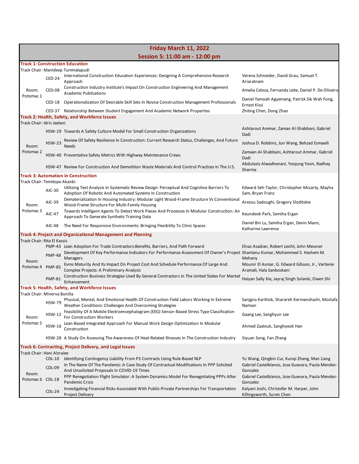| Friday March 11, 2022                                                                  |                                |                                                                                                                                                        |                                                                              |  |  |
|----------------------------------------------------------------------------------------|--------------------------------|--------------------------------------------------------------------------------------------------------------------------------------------------------|------------------------------------------------------------------------------|--|--|
|                                                                                        | Session 5: 11:00 am - 12:00 pm |                                                                                                                                                        |                                                                              |  |  |
|                                                                                        |                                | <b>Track 1: Construction Education</b><br>Track Chair: Manideep Tummalapudi                                                                            |                                                                              |  |  |
|                                                                                        | CED-24                         | International Construction Education Experiences: Designing A Comprehensive Research<br>Approach                                                       | Verena Schneider, David Grau, Samuel T.<br>Ariaratnam                        |  |  |
| Room:<br>Potomac 1                                                                     | CED-08                         | Construction Industry Institute's Impact On Construction Engineering And Management<br><b>Academic Publications</b>                                    | Amelia Celoza, Fernanda Leite, Daniel P. De Oliveira                         |  |  |
|                                                                                        |                                | CED-18 Operationalization Of Desirable Skill Sets In Novice Construction Management Professionals                                                      | Daniel Yamoah Agyemang, Patrick Sik Wah Fong,<br>Ernest Kissi                |  |  |
|                                                                                        |                                | CED-37 Relationship Between Student Engagement And Academic Network Properties                                                                         | Zhiting Chen, Dong Zhao                                                      |  |  |
| Track Chair: Idris Jeelani                                                             |                                | Track 2: Health, Safety, and Workforce Issues                                                                                                          |                                                                              |  |  |
|                                                                                        |                                | HSW-19 Towards A Safety Culture Model For Small Construction Organizations                                                                             | Ashtarout Ammar, Zaman Al-Shabbani, Gabriel<br>Dadi                          |  |  |
| Room:                                                                                  | <b>HSW-23</b>                  | Review Of Safety Resilience In Construction: Current Research Status, Challenges, And Future<br><b>Needs</b>                                           | Joshua D. Robbins, Jun Wang, Behzad Esmaeili                                 |  |  |
| Potomac 2                                                                              |                                | HSW-40 Preventative Safety Metrics With Highway Maintenance Crews                                                                                      | Zamaan Al-Shabbani, Ashtarout Ammar, Gabriel<br>Dadi                         |  |  |
|                                                                                        |                                | HSW-47 Review For Construction And Demolition Waste Materials And Control Practices In The U.S.                                                        | Abdulaziz Alwadhenani, Yoojung Yoon, Radhey<br>Sharma                        |  |  |
| Track Chair: Temitope Akanbi                                                           |                                | <b>Track 3: Automation in Construction</b>                                                                                                             |                                                                              |  |  |
|                                                                                        | AIC-30                         | Utilizing Text Analysis In Systematic Review Design: Perceptual And Cognitive Barriers To<br>Adoption Of Robotic And Automated Systems In Construction | Edward Seh-Taylor, Christopher Mccarty, Mayha<br>Sam, Bryan Franz            |  |  |
| Room:                                                                                  | AIC-39                         | Dematerialization In Housing Industry: Modular Light Wood-Frame Structure Vs Conventional<br>Wood-Frame Structure For Multi-Family Housing             | Arezou Sadoughi, Gregory Sloditskie                                          |  |  |
| Potomac <sub>3</sub>                                                                   | AIC-47                         | Towards Intelligent Agents To Detect Work Pieces And Processes In Modular Construction: An<br>Approach To Generate Synthetic Training Data             | Keundeok Park, Semiha Ergan                                                  |  |  |
|                                                                                        | AIC-48                         | The Need For Responsive Environments: Bringing Flexibility To Clinic Spaces                                                                            | Daniel Bin Lu, Semiha Ergan, Devin Mann,<br>Katharine Lawrence               |  |  |
|                                                                                        |                                | Track 4: Project and Organizational Management and Planning                                                                                            |                                                                              |  |  |
| Track Chair: Rita El Kassis                                                            |                                | PMP-43 Lean Adoption For Trade Contractors: Benefits, Barriers, And Path Forward                                                                       | Elnaz Asadian, Robert Leicht, John Messner                                   |  |  |
|                                                                                        | <b>PMP-48</b>                  | Development Of Key Performance Indicators For Performance Assessment Of Owner's Project Shantanu Kumar, Mohammed S. Hashem M.<br><b>Managers</b>       | Mehany                                                                       |  |  |
| Room:<br>Potomac 4 PMP-85                                                              |                                | Evms Maturity And Its Impact On Project Cost And Schedule Performance Of Large And<br>Complex Projects: A Preliminary Analysis                         | Mounir El Asmar, G. Edward Gibson, Jr., Vartenie<br>Aramali, Hala Sanboskani |  |  |
|                                                                                        | <b>PMP-81</b>                  | Construction Business Strategies Used By General Contractors In The United States For Market<br>Enhancement                                            | Haiyan Sally Xie, Jayraj Singh Solanki, Owen Shi                             |  |  |
|                                                                                        |                                | Track 5: Health, Safety, and Workforce Issues                                                                                                          |                                                                              |  |  |
| Track Chair: Minerva Bonilla                                                           | <b>HSW-79</b>                  | Physical, Mental, And Emotional Health Of Construction Field Labors Working In Extreme<br>Weather Conditions: Challenges And Overcoming Strategies     | Sanjgna Karthick, Sharareh Kermanshachi, Mostafa<br>Namian                   |  |  |
| Room:                                                                                  | <b>HSW-12</b>                  | Feasibility Of A Mobile Electroencephalogram (EEG) Sensor-Based Stress Type Classification<br><b>For Construction Workers</b>                          | Gaang Lee, Sanghyun Lee                                                      |  |  |
| Potomac <sub>5</sub>                                                                   | <b>HSW-16</b>                  | Lean-Based Integrated Approach For Manual Work Design Optimization In Modular<br>Construction                                                          | Ahmed Zaalouk, Sanghyeok Han                                                 |  |  |
|                                                                                        |                                | HSW-28 A Study On Assessing The Awareness Of Heat-Related Illnesses In The Construction Industry                                                       | Siyuan Song, Fan Zhang                                                       |  |  |
| Track 6: Contracting, Project Delivery, and Legal Issues<br>Track Chair: Hani Alzraiee |                                |                                                                                                                                                        |                                                                              |  |  |
|                                                                                        | $CDL-10$                       | Identifying Contingency Liability From P3 Contracts Using Rule-Based NLP                                                                               | Yu Wang, Qingbin Cui, Kunqi Zhang, Man Liang                                 |  |  |
| Room:                                                                                  | <b>CDL-09</b>                  | In The Name Of The Pandemic: A Case Study Of Contractual Modifications In PPP Solicited<br>And Unsolicited Proposals In COVID-19 Times                 | Gabriel Castelblanco, Jose Guevara, Paula Mendez-<br>Gonzalez                |  |  |
| Potomac 6 CDL-18                                                                       |                                | PPP Renegotiation Flight Simulator: A System Dynamics Model For Renegotiating PPPs After<br><b>Pandemic Crisis</b>                                     | Gabriel Castelblanco, Jose Guevara, Paula Mendez-<br>Gonzalez                |  |  |
|                                                                                        | $CDL-24$                       | Investigating Financial Risks Associated With Public-Private Partnerships For Transportation<br>Project Delivery                                       | Kalyani Joshi, Christofer M. Harper, John<br>Killingsworth, Suren Chen       |  |  |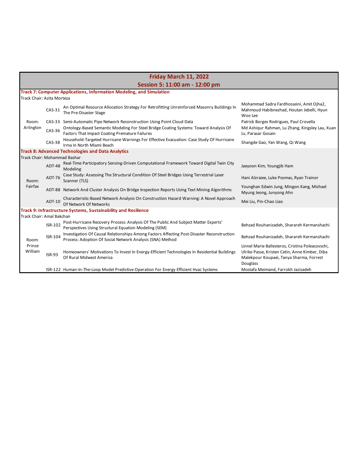| Friday March 11, 2022        |                                |                                                                                                                                                         |                                                                                                                                                            |  |  |
|------------------------------|--------------------------------|---------------------------------------------------------------------------------------------------------------------------------------------------------|------------------------------------------------------------------------------------------------------------------------------------------------------------|--|--|
|                              | Session 5: 11:00 am - 12:00 pm |                                                                                                                                                         |                                                                                                                                                            |  |  |
|                              |                                | Track 7: Computer Applications, Information Modeling, and Simulation                                                                                    |                                                                                                                                                            |  |  |
| Track Chair: Azita Morteza   |                                |                                                                                                                                                         |                                                                                                                                                            |  |  |
|                              | $CAS-31$                       | An Optimal Resource Allocation Strategy For Retrofitting Unreinforced Masonry Buildings In<br>The Pre-Disaster Stage                                    | Mohammad Sadra Fardhosseini, Amit Ojha2,<br>Mahmoud Habibnezhad, Houtan Jebelli, Hyun<br>Woo Lee                                                           |  |  |
| Room:                        |                                | CAS-33 Semi-Automatic Pipe Network Reconstruction Using Point Cloud Data                                                                                | Patrick Borges Rodrigues, Paul Crovella                                                                                                                    |  |  |
| Arlington                    | CAS-36                         | Ontology-Based Semantic Modeling For Steel Bridge Coating Systems: Toward Analysis Of<br>Factors That Impact Coating Premature Failures                 | Md Ashiqur Rahman, Lu Zhang, Kingsley Lau, Xuan<br>Lv, Parasar Gosain                                                                                      |  |  |
|                              | $CAS-38$                       | Household-Targeted Hurricane Warnings For Effective Evacuation: Case Study Of Hurricane<br>Irma In North Miami Beach                                    | Shangde Gao, Yan Wang, Qi Wang                                                                                                                             |  |  |
|                              |                                | <b>Track 8: Advanced Technologies and Data Analytics</b>                                                                                                |                                                                                                                                                            |  |  |
| Track Chair: Mohammad Bashar |                                |                                                                                                                                                         |                                                                                                                                                            |  |  |
|                              | ADT-48                         | Real-Time Participatory Sensing-Driven Computational Framework Toward Digital Twin City<br>Modeling                                                     | Jaeyoon Kim, Youngjib Ham                                                                                                                                  |  |  |
| Room:                        | ADT-76                         | Case Study: Assessing The Structural Condition Of Steel Bridges Using Terrestrial Laser<br>Scanner (TLS)                                                | Hani Alzraiee, Luke Psomas, Ryan Trainor                                                                                                                   |  |  |
| Fairfax                      |                                | ADT-88 Network And Cluster Analysis On Bridge Inspection Reports Using Text Mining Algorithms                                                           | Younghan Edwin Jung, Mingon Kang, Michael<br>Myung Jeong, Junyong Ahn                                                                                      |  |  |
|                              | ADT-10                         | Characteristic-Based Network Analysis On Construction Hazard Warning: A Novel Approach<br>Of Network Of Networks                                        | Mei Liu, Pin-Chao Liao                                                                                                                                     |  |  |
|                              |                                | <b>Track 9: Infrastructure Systems, Sustainability and Resilience</b>                                                                                   |                                                                                                                                                            |  |  |
| Track Chair: Amal Bakchan    |                                |                                                                                                                                                         |                                                                                                                                                            |  |  |
|                              | <b>ISR-102</b>                 | Post-Hurricane Recovery Process: Analysis Of The Public And Subject Matter Experts'<br>Perspectives Using Structural Equation Modeling (SEM)            | Behzad Rouhanizadeh, Sharareh Kermanshachi                                                                                                                 |  |  |
| Room:<br>Prince<br>William   | <b>ISR-104</b>                 | Investigation Of Causal Relationships Among Factors Affecting Post-Disaster Reconstruction<br>Process: Adoption Of Social Network Analysis (SNA) Method | Behzad Rouhanizadeh, Sharareh Kermanshachi                                                                                                                 |  |  |
|                              | <b>ISR-93</b>                  | Homeowners' Motivations To Invest In Energy-Efficient Technologies In Residential Buildings<br>Of Rural Midwest America                                 | Linnel Marie Ballesteros, Cristina Poleacovschi,<br>Ulrike Passe, Kristen Cetin, Anne Kimber, Diba<br>Malekpour Koupaei, Tanya Sharma, Forrest<br>Douglass |  |  |
|                              |                                | ISR-122 Human-In-The-Loop Model Predictive Operation For Energy Efficient Hvac Systems                                                                  | Mostafa Meimand, Farrokh Jazizadeh                                                                                                                         |  |  |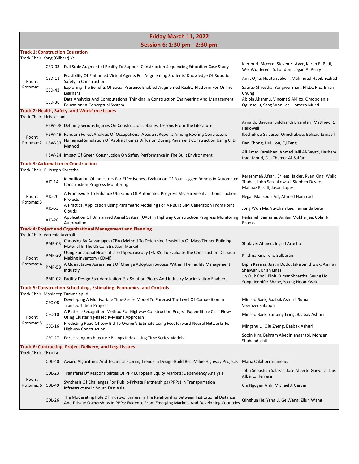|                                 | Friday March 11, 2022 |                                                                                                                                                                                      |                                                                                                                               |  |
|---------------------------------|-----------------------|--------------------------------------------------------------------------------------------------------------------------------------------------------------------------------------|-------------------------------------------------------------------------------------------------------------------------------|--|
|                                 |                       | Session 6: 1:30 pm - 2:30 pm                                                                                                                                                         |                                                                                                                               |  |
| Track Chair: Yang (Gilbert) Ye  |                       | <b>Track 1: Construction Education</b>                                                                                                                                               |                                                                                                                               |  |
|                                 |                       | CED-03 Full Scale Augmented Reality To Support Construction Sequencing Education Case Study                                                                                          | Kieren H. Mccord, Steven K. Ayer, Karan R. Patil,<br>Wei Wu, Jeremi S. London, Logan A. Perry                                 |  |
|                                 | CED-11                | Feasibility Of Embodied Virtual Agents For Augmenting Students' Knowledge Of Robotic                                                                                                 | Amit Ojha, Houtan Jebelli, Mahmoud Habibnezhad                                                                                |  |
| Room:<br>Potomac 1              | CED-43                | Safety In Construction<br>Exploring The Benefits Of Social Presence Enabled Augmented Reality Platform For Online                                                                    | Saurav Shrestha, Yongwei Shan, Ph.D., P.E., Brian                                                                             |  |
|                                 | CED-36                | Learners<br>Data Analytics And Computational Thinking In Construction Engineering And Management                                                                                     | Chung<br>Abiola Akanmu, Vincent S Akligo, Omobolanle                                                                          |  |
|                                 |                       | Education: A Conceptual System<br>Track 2: Health, Safety, and Workforce Issues                                                                                                      | Ogunseiju, Sang Won Lee, Homero Murzi                                                                                         |  |
| Track Chair: Idris Jeelani      |                       |                                                                                                                                                                                      |                                                                                                                               |  |
|                                 |                       | HSW-08 Defining Serious Injuries On Construction Jobsites: Lessons From The Literature                                                                                               | Arnaldo Bayona, Siddharth Bhandari, Matthew R.<br>Hallowell                                                                   |  |
| Room:                           |                       | HSW-49 Random Forest Analysis Of Occupational Accident Reports Among Roofing Contractors<br>Numerical Simulation Of Asphalt Fumes Diffusion During Pavement Construction Using CFD   | Ikechukwu Sylvester Onuchukwu, Behzad Esmaeil                                                                                 |  |
| Potomac 2 HSW-53                |                       | Method                                                                                                                                                                               | Dan Chong, Hui Hou, Qi Feng                                                                                                   |  |
|                                 |                       | HSW-24 Impact Of Green Construction On Safety Performance In The Built Environment                                                                                                   | Ali Amer Karakhan, Ahmed Jalil Al-Bayati, Hashem<br>Izadi Moud, Ola Thamer Al-Saffar                                          |  |
| Track Chair: K. Joseph Shrestha |                       | Track 3: Automation in Construction                                                                                                                                                  |                                                                                                                               |  |
|                                 | AIC-14                | Identification Of Indicators For Effectiveness Evaluation Of Four-Legged Robots In Automated<br><b>Construction Progress Monitoring</b>                                              | Kereshmeh Afsari, Srijeet Halder, Ryan King, Walid<br>Thabet, John Serdakowski, Stephen Devito,<br>Mahnaz Ensafi, Jason Lopez |  |
| Room:                           | AIC-20                | A Framework To Enhance Utilization Of Automated Progress Measurements In Construction<br>Projects                                                                                    | Negar Mansouri Asl, Ahmed Hammad                                                                                              |  |
| Potomac 3                       | AIC-53                | A Practical Application Using Parametric Modeling For As-Built BIM Generation From Point<br>Clouds                                                                                   | Jong Won Ma, Yu-Chen Lee, Fernanda Leite                                                                                      |  |
|                                 | <b>AIC-28</b>         | Application Of Unmanned Aerial System (UAS) In Highway Construction Progress Monitoring<br>Automation                                                                                | Reihaneh Samsami, Amlan Mukherjee, Colin N<br><b>Brooks</b>                                                                   |  |
|                                 |                       | Track 4: Project and Organizational Management and Planning                                                                                                                          |                                                                                                                               |  |
| Track Chair: Vartenie Aramali   | <b>PMP-03</b>         | Choosing By Advantages (CBA) Method To Determine Feasibility Of Mass Timber Building<br>Material In The US Construction Market                                                       | Shafayet Ahmed, Ingrid Arocho                                                                                                 |  |
| Room:                           | <b>PMP-30</b>         | Using Functional Near-Infrared Spectroscopy (FNIRS) To Evaluate The Construction Decision<br>Making Inventory (CDMI)                                                                 | Krishna Kisi, Tulio Sulbaran                                                                                                  |  |
| Potomac <sub>4</sub>            | <b>PMP-58</b>         | A Quantitative Assessment Of Change Adoption Success Within The Facility Management<br>Industry                                                                                      | Dipin Kasana, Justin Dodd, Jake Smithwick, Amirali<br>Shalwani, Brian Lines                                                   |  |
|                                 |                       | PMP-02 Facility Design Standardization: Six Solution Pieces And Industry Maximization Enablers                                                                                       | Jin Ouk Choi, Binit Kumar Shrestha, Seung Ho<br>Song, Jennifer Shane, Young Hoon Kwak                                         |  |
|                                 |                       | <b>Track 5: Construction Scheduling, Estimating, Economics, and Controls</b>                                                                                                         |                                                                                                                               |  |
|                                 | <b>CEC-08</b>         | Track Chair: Manideep Tummalapudi<br>Developing A Multivariate Time-Series Model To Forecast The Level Of Competition In<br><b>Transportation Projects</b>                           | Minsoo Baek, Baabak Ashuri, Suma<br>Veeravenkatappa                                                                           |  |
|                                 | CEC-10                | A Pattern-Recognition Method For Highway Construction Project Expenditure Cash Flows                                                                                                 | Minsoo Baek, Yunping Liang, Baabak Ashuri                                                                                     |  |
| Room:<br>Potomac <sub>5</sub>   | CEC-16                | Using Clustering-Based K-Means Approach<br>Predicting Ratio Of Low Bid To Owner's Estimate Using Feedforward Neural Networks For                                                     | Mingshu Li, Qiu Zheng, Baabak Ashuri                                                                                          |  |
|                                 | CEC-27                | <b>Highway Construction</b><br>Forecasting Architecture Billings Index Using Time Series Models                                                                                      | Sooin Kim, Bahram Abediniangerabi, Mohsen                                                                                     |  |
|                                 |                       | Track 6: Contracting, Project Delivery, and Legal Issues                                                                                                                             | Shahandashti                                                                                                                  |  |
| Track Chair: Chau Le            |                       |                                                                                                                                                                                      |                                                                                                                               |  |
|                                 | CDL-40                | Award Algorithms And Technical Scoring Trends In Design-Build Best-Value Highway Projects                                                                                            | Maria Calahorra-Jimenez                                                                                                       |  |
|                                 | $CDL-23$              | Transferal Of Responsibilities Of PPP European Equity Markets: Dependency Analysis                                                                                                   | John Sebastian Salazar, Jose Alberto Guevara, Luis<br>Alberto Herrera                                                         |  |
| Room:<br>Potomac 6 CDL-49       |                       | Synthesis Of Challenges For Public-Private Partnerships (PPPs) In Transportation<br>Infrastructure In South East Asia                                                                | Chi Nguyen Anh, Michael J. Garvin                                                                                             |  |
|                                 | $CDL-26$              | The Moderating Role Of Trustworthiness In The Relationship Between Institutional Distance<br>And Private Ownerships In PPPs: Evidence From Emerging Markets And Developing Countries | Qinghua He, Yang Li, Ge Wang, Zilun Wang                                                                                      |  |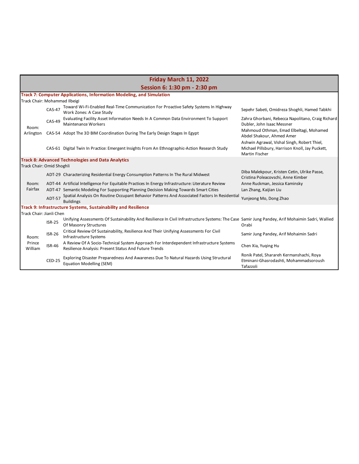|                               | Friday March 11, 2022        |                                                                                                                                                                          |                                                                                                                         |  |  |  |
|-------------------------------|------------------------------|--------------------------------------------------------------------------------------------------------------------------------------------------------------------------|-------------------------------------------------------------------------------------------------------------------------|--|--|--|
|                               | Session 6: 1:30 pm - 2:30 pm |                                                                                                                                                                          |                                                                                                                         |  |  |  |
|                               |                              | <b>Track 7: Computer Applications, Information Modeling, and Simulation</b>                                                                                              |                                                                                                                         |  |  |  |
| Track Chair: Mohammad Ilbeigi |                              |                                                                                                                                                                          |                                                                                                                         |  |  |  |
|                               | $CAS-47$                     | Toward Wi-Fi-Enabled Real-Time Communication For Proactive Safety Systems In Highway<br>Work Zones: A Case Study                                                         | Sepehr Sabeti, Omidreza Shoghli, Hamed Tabkhi                                                                           |  |  |  |
| Room:                         | $CAS-49$                     | Evaluating Facility Asset Information Needs In A Common Data Environment To Support<br><b>Maintenance Workers</b>                                                        | Zahra Ghorbani, Rebecca Napolitano, Craig Richard<br>Dubler, John Isaac Messner                                         |  |  |  |
| Arlington                     |                              | CAS-54 Adopt The 3D BIM Coordination During The Early Design Stages In Egypt                                                                                             | Mahmoud Othman, Emad Elbeltagi, Mohamed<br>Abdel Shakour, Ahmed Amer                                                    |  |  |  |
|                               |                              | CAS-61 Digital Twin In Practice: Emergent Insights From An Ethnographic-Action Research Study                                                                            | Ashwin Agrawal, Vishal Singh, Robert Thiel,<br>Michael Pillsbury, Harrison Knoll, Jay Puckett,<br><b>Martin Fischer</b> |  |  |  |
|                               |                              | <b>Track 8: Advanced Technologies and Data Analytics</b>                                                                                                                 |                                                                                                                         |  |  |  |
| Track Chair: Omid Shoghli     |                              |                                                                                                                                                                          |                                                                                                                         |  |  |  |
|                               |                              | ADT-29 Characterizing Residential Energy Consumption Patterns In The Rural Midwest                                                                                       | Diba Malekpour, Kristen Cetin, Ulrike Passe,<br>Cristina Poleacovschi, Anne Kimber                                      |  |  |  |
| Room:                         |                              | ADT-44 Artificial Intelligence For Equitable Practices In Energy Infrastructure: Literature Review                                                                       | Anne Ruckman, Jessica Kaminsky                                                                                          |  |  |  |
| Fairfax                       |                              | ADT-47 Semantic Modeling For Supporting Planning Decision Making Towards Smart Cities                                                                                    | Lan Zhang, Kaijian Liu                                                                                                  |  |  |  |
|                               | <b>ADT-57</b>                | Spatial Analysis On Routine Occupant Behavior Patterns And Associated Factors In Residential<br><b>Buildings</b>                                                         | Yunjeong Mo, Dong Zhao                                                                                                  |  |  |  |
|                               |                              | Track 9: Infrastructure Systems, Sustainability and Resilience                                                                                                           |                                                                                                                         |  |  |  |
| Track Chair: Jianli Chen      |                              |                                                                                                                                                                          |                                                                                                                         |  |  |  |
|                               | <b>ISR-25</b>                | Unifying Assessments Of Sustainability And Resilience In Civil Infrastructure Systems: The Case Samir Jung Pandey, Arif Mohaimin Sadri, Wallied<br>Of Masonry Structures | Orabi                                                                                                                   |  |  |  |
| Room:<br>Prince<br>William    | $ISR-26$                     | Critical Review Of Sustainability, Resilience And Their Unifying Assessments For Civil<br>Infrastructure Systems                                                         | Samir Jung Pandey, Arif Mohaimin Sadri                                                                                  |  |  |  |
|                               | <b>ISR-46</b>                | A Review Of A Socio-Technical System Approach For Interdependent Infrastructure Systems<br>Resilience Analysis: Present Status And Future Trends                         | Chen Xia, Yuging Hu                                                                                                     |  |  |  |
|                               | $CED-25$                     | Exploring Disaster Preparedness And Awareness Due To Natural Hazards Using Structural<br><b>Equation Modelling (SEM)</b>                                                 | Ronik Patel, Sharareh Kermanshachi, Roya<br>Etminani-Ghasrodashti, Mohammadsoroush<br>Tafazzoli                         |  |  |  |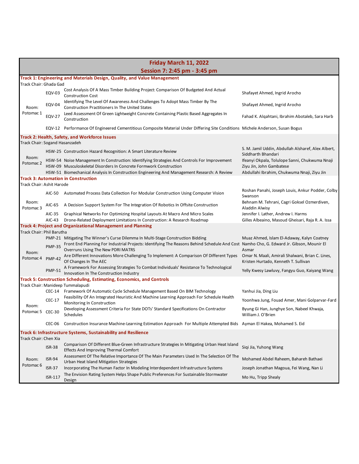| Friday March 11, 2022                                          |                                         |                                                                                                                                                                                                                                                                   |                                                                                                                           |  |
|----------------------------------------------------------------|-----------------------------------------|-------------------------------------------------------------------------------------------------------------------------------------------------------------------------------------------------------------------------------------------------------------------|---------------------------------------------------------------------------------------------------------------------------|--|
|                                                                |                                         | Session 7: 2:45 pm - 3:45 pm                                                                                                                                                                                                                                      |                                                                                                                           |  |
|                                                                |                                         | Track 1: Engineering and Materials Design, Quality, and Value Management                                                                                                                                                                                          |                                                                                                                           |  |
| Room:                                                          | Track Chair: Ghada Gad<br><b>EQV-03</b> | Cost Analysis Of A Mass Timber Building Project: Comparison Of Budgeted And Actual<br><b>Construction Cost</b>                                                                                                                                                    | Shafayet Ahmed, Ingrid Arocho                                                                                             |  |
|                                                                | <b>EQV-04</b>                           | Identifying The Level Of Awareness And Challenges To Adopt Mass Timber By The<br><b>Construction Practitioners In The United States</b>                                                                                                                           | Shafayet Ahmed, Ingrid Arocho                                                                                             |  |
| Potomac 1                                                      | <b>EQV-27</b>                           | Leed Assessment Of Green Lightweight Concrete Containing Plastic Based Aggregates In<br>Construction                                                                                                                                                              | Fahad K. Algahtani, Ibrahim Abotaleb, Sara Harb                                                                           |  |
|                                                                |                                         | EQV-12 Performance Of Engineered Cementitious Composite Material Under Differing Site Conditions Michele Anderson, Susan Bogus                                                                                                                                    |                                                                                                                           |  |
| Track Chair: Sogand Hasanzadeh                                 |                                         | Track 2: Health, Safety, and Workforce Issues                                                                                                                                                                                                                     |                                                                                                                           |  |
| Room:                                                          |                                         | HSW-25 Construction Hazard Recognition: A Smart Literature Review                                                                                                                                                                                                 | S. M. Jamil Uddin, Abdullah Alsharef, Alex Albert,<br>Siddharth Bhandari                                                  |  |
| Potomac <sub>2</sub>                                           |                                         | HSW-54 Noise Management In Construction: Identifying Strategies And Controls For Improvement<br>HSW-09 Musculoskeletal Disorders In Concrete Formwork Construction<br>HSW-51 Biomechanical Analysis In Construction Engineering And Management Research: A Review | Ifeanyi Okpala, Tolulope Sanni, Chukwuma Nnaji<br>Ziyu Jin, John Gambatese<br>Abdullahi Ibrahim, Chukwuma Nnaji, Ziyu Jin |  |
|                                                                |                                         | <b>Track 3: Automation in Construction</b>                                                                                                                                                                                                                        |                                                                                                                           |  |
| Track Chair: Ashit Harode                                      |                                         |                                                                                                                                                                                                                                                                   |                                                                                                                           |  |
|                                                                | AIC-50                                  | Automated Process Data Collection For Modular Construction Using Computer Vision                                                                                                                                                                                  | Roshan Panahi, Joseph Louis, Ankur Podder, Colby<br>Swanson                                                               |  |
| Room:<br>Potomac <sub>3</sub>                                  | AIC-65                                  | A Decision Support System For The Integration Of Robotics In Offsite Construction                                                                                                                                                                                 | Behnam M. Tehrani, Cagri Goksel Ozmerdiven,<br>Aladdin Alwisy                                                             |  |
|                                                                | AIC-35<br>AIC-43                        | Graphical Networks For Optimizing Hospital Layouts At Macro And Micro Scales<br>Drone-Related Deployment Limitations In Construction: A Research Roadmap                                                                                                          | Jennifer I. Lather, Andrew I. Harms<br>Gilles Albeaino, Masoud Gheisari, Raja R. A. Issa                                  |  |
|                                                                |                                         | <b>Track 4: Project and Organizational Management and Planning</b>                                                                                                                                                                                                |                                                                                                                           |  |
| Track Chair: Phil Barutha                                      |                                         | PMP-21 Mitigating The Winner's Curse Dilemma In Multi-Stage Construction Bidding                                                                                                                                                                                  | Muaz Ahmed, Islam El-Adaway, Kalyn Coatney                                                                                |  |
|                                                                | <b>PMP-35</b>                           | Front End Planning For Industrial Projects: Identifying The Reasons Behind Schedule And Cost Namho Cho, G. Edward Jr. Gibson, Mounir El<br>Overruns Using The New PDRI MATRS                                                                                      | Asmar                                                                                                                     |  |
| Room:<br>Potomac 4                                             | <b>PMP-42</b>                           | Are Different Innovations More Challenging To Implement: A Comparison Of Different Types<br>Of Changes In The AEC                                                                                                                                                 | Omar N. Maali, Amirali Shalwani, Brian C. Lines,<br>Kristen Hurtado, Kenneth T. Sullivan                                  |  |
|                                                                | <b>PMP-51</b>                           | A Framework For Assessing Strategies To Combat Individuals' Resistance To Technological<br>Innovation In The Construction Industry                                                                                                                                | Yelly Kwesy Lawluvy, Fangyu Guo, Kaiyang Wang                                                                             |  |
|                                                                |                                         | Track 5: Construction Scheduling, Estimating, Economics, and Controls                                                                                                                                                                                             |                                                                                                                           |  |
|                                                                |                                         | Track Chair: Manideep Tummalapudi<br>CEC-14 Framework Of Automatic Cycle Schedule Management Based On BIM Technology                                                                                                                                              | Yanhui Jia, Ding Liu                                                                                                      |  |
|                                                                | <b>CEC-17</b>                           | Feasibility Of An Integrated Heuristic And Machine Learning Approach For Schedule Health                                                                                                                                                                          | Yoonhwa Jung, Fouad Amer, Mani Golparvar-Fard                                                                             |  |
| Room:<br>Potomac 5 CEC-30                                      |                                         | Monitoring In Construction<br>Developing Assessment Criteria For State DOTs' Standard Specifications On Contractor<br>Schedules                                                                                                                                   | Byung Gi Han, Junghye Son, Nabeel Khwaja,<br>William J. O'Brien                                                           |  |
|                                                                |                                         | CEC-06 Construction Insurance Machine-Learning Estimation Approach For Multiple Attempted Bids Ayman El Hakea, Mohamed S. Eid                                                                                                                                     |                                                                                                                           |  |
| Track 6: Infrastructure Systems, Sustainability and Resilience |                                         |                                                                                                                                                                                                                                                                   |                                                                                                                           |  |
| Track Chair: Chen Xia                                          |                                         |                                                                                                                                                                                                                                                                   |                                                                                                                           |  |
|                                                                | <b>ISR-38</b>                           | Comparison Of Different Blue-Green Infrastructure Strategies In Mitigating Urban Heat Island<br><b>Effects And Improving Thermal Comfort</b>                                                                                                                      | Sigi Jia, Yuhong Wang                                                                                                     |  |
| Room:                                                          | <b>ISR-94</b>                           | Assessment Of The Relative Importance Of The Main Parameters Used In The Selection Of The<br>Urban Heat Island Mitigation Strategies                                                                                                                              | Mohamed Abdel Raheem, Bahareh Bathaei                                                                                     |  |
| Potomac 6                                                      | <b>ISR-37</b>                           | Incorporating The Human Factor In Modeling Interdependent Infrastructure Systems                                                                                                                                                                                  | Joseph Jonathan Magoua, Fei Wang, Nan Li                                                                                  |  |
|                                                                | ISR-117                                 | The Envision Rating System Helps Shape Public Preferences For Sustainable Stormwater<br>Design                                                                                                                                                                    | Mo Hu, Tripp Shealy                                                                                                       |  |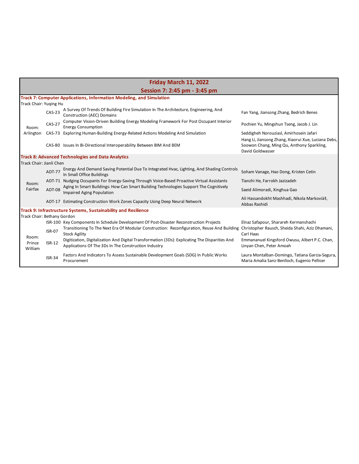|                             | Friday March 11, 2022 |                                                                                                                                                        |                                                                                                 |  |  |
|-----------------------------|-----------------------|--------------------------------------------------------------------------------------------------------------------------------------------------------|-------------------------------------------------------------------------------------------------|--|--|
|                             |                       | Session 7: 2:45 pm - 3:45 pm                                                                                                                           |                                                                                                 |  |  |
|                             |                       | <b>Track 7: Computer Applications, Information Modeling, and Simulation</b>                                                                            |                                                                                                 |  |  |
| Track Chair: Yuging Hu      |                       |                                                                                                                                                        |                                                                                                 |  |  |
|                             | <b>CAS-23</b>         | A Survey Of Trends Of Building Fire Simulation In The Architecture, Engineering, And<br><b>Construction (AEC) Domains</b>                              | Fan Yang, Jiansong Zhang, Bedrich Benes                                                         |  |  |
| Room:                       | $CAS-27$              | Computer Vision-Driven Building Energy Modeling Framework For Post Occupant Interior<br><b>Energy Consumption</b>                                      | Pochien Yu, Mingshun Tseng, Jacob J. Lin                                                        |  |  |
| Arlington                   | $CAS-73$              | Exploring Human-Building Energy-Related Actions Modeling And Simulation                                                                                | Seddigheh Norouziasl, Amirhosein Jafari<br>Hang Li, Jiansong Zhang, Xiaorui Xue, Luciana Debs,  |  |  |
|                             |                       | CAS-80 Issues In Bi-Directional Interoperability Between BIM And BEM                                                                                   | Soowon Chang, Ming Qu, Anthony Sparkling,<br>David Goldwasser                                   |  |  |
|                             |                       | <b>Track 8: Advanced Technologies and Data Analytics</b>                                                                                               |                                                                                                 |  |  |
| Track Chair: Jianli Chen    |                       |                                                                                                                                                        |                                                                                                 |  |  |
|                             | <b>ADT-77</b>         | Energy And Demand Saving Potential Due To Integrated Hvac, Lighting, And Shading Controls<br>In Small Office Buildings                                 | Soham Vanage, Hao Dong, Kristen Cetin                                                           |  |  |
| Room:                       |                       | ADT-71 Nudging Occupants For Energy-Saving Through Voice-Based Proactive Virtual Assistants                                                            | Tianzhi He, Farrokh Jazizadeh                                                                   |  |  |
| Fairfax                     | ADT-08                | Aging In Smart Buildings: How Can Smart Building Technologies Support The Cognitively<br><b>Impaired Aging Population</b>                              | Saeid Alimoradi, Xinghua Gao                                                                    |  |  |
|                             |                       | ADT-17 Estimating Construction Work Zones Capacity Using Deep Neural Network                                                                           | Ali Hassandokht Mashhadi, Nikola Markoviä‡,<br>Abbas Rashidi                                    |  |  |
|                             |                       | <b>Track 9: Infrastructure Systems, Sustainability and Resilience</b>                                                                                  |                                                                                                 |  |  |
| Track Chair: Bethany Gordon |                       |                                                                                                                                                        |                                                                                                 |  |  |
|                             |                       | ISR-100 Key Components In Schedule Development Of Post-Disaster Reconstruction Projects                                                                | Elnaz Safapour, Sharareh Kermanshachi                                                           |  |  |
| Room:<br>Prince<br>William  | <b>ISR-07</b>         | Transitioning To The Next Era Of Modular Construction: Reconfiguration, Reuse And Building<br><b>Stock Agility</b>                                     | Christopher Rausch, Sheida Shahi, Aziz Dhamani,<br>Carl Haas                                    |  |  |
|                             | $ISR-12$              | Digitization, Digitalization And Digital Transformation (3Ds): Explicating The Disparities And<br>Applications Of The 3Ds In The Construction Industry | Emmananuel Kingsford Owusu, Albert P.C. Chan,<br>Linyan Chen, Peter Amoah                       |  |  |
|                             | <b>ISR-34</b>         | Factors And Indicators To Assess Sustainable Development Goals (SDG) In Public Works<br>Procurement                                                    | Laura Montalban-Domingo, Tatiana Garcia-Segura,<br>Maria Amalia Sanz-Benlloch, Eugenio Pellicer |  |  |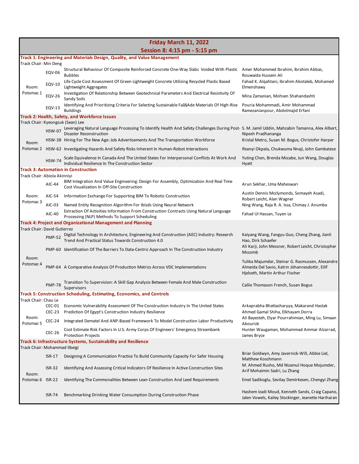| Friday March 11, 2022                                                                           |               |                                                                                                                                                                                                                                              |                                                                                                                                        |  |
|-------------------------------------------------------------------------------------------------|---------------|----------------------------------------------------------------------------------------------------------------------------------------------------------------------------------------------------------------------------------------------|----------------------------------------------------------------------------------------------------------------------------------------|--|
|                                                                                                 |               | Session 8: 4:15 pm - 5:15 pm                                                                                                                                                                                                                 |                                                                                                                                        |  |
| Track Chair: Min Deng                                                                           |               | Track 1: Engineering and Materials Design, Quality, and Value Management                                                                                                                                                                     |                                                                                                                                        |  |
|                                                                                                 | <b>EQV-06</b> | Structural Behaviour Of Composite Reinforced Concrete One-Way Slabs Voided With Plastic Amer Mohammed Ibrahim, Ibrahim Abbas,<br><b>Bubbles</b><br>Life Cycle Cost Assessment Of Green Lightweight Concrete Utilizing Recycled Plastic Based | Rouwaida Hussein Ali<br>Fahad K. Algahtani, Ibrahim Abotaleb, Mohamed                                                                  |  |
| Room:                                                                                           | EQV-10        | Lightweight Aggregates                                                                                                                                                                                                                       | Elmenshawy                                                                                                                             |  |
| Potomac 1                                                                                       | <b>EQV-26</b> | Investigation Of Relationship Between Geotechnical Parameters And Electrical Resistivity Of<br>Sandy Soils                                                                                                                                   | Mina Zamanian, Mohsen Shahandashti                                                                                                     |  |
|                                                                                                 | <b>EQV-13</b> | Identifying And Prioritizing Criteria For Selecting Sustainable Faã§Ade Materials Of High-Rise<br><b>Buildings</b>                                                                                                                           | Pouria Mohammadi, Amir Mohammad<br>Ramezanianpour, Abdolmajid Erfani                                                                   |  |
|                                                                                                 |               | Track 2: Health, Safety, and Workforce Issues                                                                                                                                                                                                |                                                                                                                                        |  |
| Track Chair: Kyeongsuk (Sean) Lee                                                               |               | HSW-07 Leveraging Natural Language Processing To Identify Health And Safety Challenges During Post- S. M. Jamil Uddin, Mahzabin Tamanna, Alex Albert,                                                                                        |                                                                                                                                        |  |
|                                                                                                 |               | <b>Disaster Reconstruction</b>                                                                                                                                                                                                               | Nipesh Pradhananga                                                                                                                     |  |
| Room:                                                                                           |               | HSW-38 Hiring For The New Age: Job Advertisements And The Transportation Workforce                                                                                                                                                           | Kristal Metro, Susan M. Bogus, Christofer Harper                                                                                       |  |
|                                                                                                 |               | Potomac 2 HSW-62 Investigating Hazards And Safety Risks Inherent In Human-Robot Interactions                                                                                                                                                 | Ifeanyi Okpala, Chukwuma Nnaji, John Gambatese                                                                                         |  |
|                                                                                                 | <b>HSW-74</b> | Scale Equivalence In Canada And The United States For Interpersonal Conflicts At Work And<br>Individual Resilience In The Construction Sector                                                                                                | Yuting Chen, Brenda Mccabe, Jun Wang, Douglas<br>Hyatt                                                                                 |  |
|                                                                                                 |               | <b>Track 3: Automation in Construction</b>                                                                                                                                                                                                   |                                                                                                                                        |  |
| Track Chair: Abiola Akinniyi                                                                    |               | BIM Integration And Value Engineering: Design For Assembly, Optimization And Real Time                                                                                                                                                       |                                                                                                                                        |  |
|                                                                                                 | AIC-44        | Cost Visualization In Off-Site Construction                                                                                                                                                                                                  | Arun Sekhar, Uma Maheswari                                                                                                             |  |
| Room:<br>Potomac 3                                                                              | AIC-54        | Information Exchange For Supporting BIM To Robotic Construction                                                                                                                                                                              | Austin Dennis Mcclymonds, Somayeh Asadi,<br>Robert Leicht, Alan Wagner                                                                 |  |
|                                                                                                 | AIC-03        | Named Entity Recognition Algorithm For Ibisds Using Neural Network                                                                                                                                                                           | Ning Wang, Raja R. A. Issa, Chimay J. Anumba                                                                                           |  |
|                                                                                                 | AIC-40        | Extraction Of Activities Information From Construction Contracts Using Natural Language<br>Processing (NLP) Methods To Support Scheduling                                                                                                    | Fahad Ul Hassan, Tuyen Le                                                                                                              |  |
|                                                                                                 |               | <b>Track 4: Project and Organizational Management and Planning</b>                                                                                                                                                                           |                                                                                                                                        |  |
| Track Chair: David Gutierrez                                                                    |               | Digital Technology In Architecture, Engineering And Construction (AEC) Industry: Research                                                                                                                                                    | Kaiyang Wang, Fangyu Guo, Cheng Zhang, Jianli                                                                                          |  |
|                                                                                                 | <b>PMP-52</b> | Trend And Practical Status Towards Construction 4.0                                                                                                                                                                                          | Hao, Dirk Schaefer<br>Ali Karji, John Messner, Robert Leicht, Christopher                                                              |  |
|                                                                                                 |               | PMP-60 Identification Of The Barriers To Data-Centric Approach In The Construction Industry                                                                                                                                                  | Mccomb                                                                                                                                 |  |
| Room:<br>Potomac <sub>4</sub>                                                                   |               | PMP-64 A Comparative Analysis Of Production Metrics Across VDC Implementations                                                                                                                                                               | Tulika Majumdar, Steinar G. Rasmussen, Alexandre<br>Almeida Del Savio, Katrin Jóhannesdottir, Eilif<br>Hjelseth, Martin Arthur Fischer |  |
|                                                                                                 | <b>PMP-78</b> | Transition To Supervision: A Skill Gap Analysis Between Female And Male Construction<br>Supervisors                                                                                                                                          | Callie Thomason French, Susan Bogus                                                                                                    |  |
|                                                                                                 |               | <b>Track 5: Construction Scheduling, Estimating, Economics, and Controls</b>                                                                                                                                                                 |                                                                                                                                        |  |
| Track Chair: Chau Le                                                                            | CEC-01        | Economic Vulnerability Assessment Of The Construction Industry In The United States                                                                                                                                                          | Arkaprabha Bhattacharyya, Makarand Hastak                                                                                              |  |
|                                                                                                 | <b>CEC-23</b> | Prediction Of Egypt's Construction Industry Resilience                                                                                                                                                                                       | Ahmed Gamal Shiha, Elkhayam Dorra                                                                                                      |  |
| Room:<br>Potomac <sub>5</sub>                                                                   | CEC-24        | Integrated Dematel And ANP-Based Framework To Model Construction Labor Productivity                                                                                                                                                          | Ali Bayesteh, Elyar Pourrahimian, Ming Lu, Simaan<br>Abourizk                                                                          |  |
|                                                                                                 | <b>CEC-26</b> | Cost Estimate Risk Factors In U.S. Army Corps Of Engineers' Emergency Streambank<br><b>Protection Projects</b>                                                                                                                               | Hunter Waugaman, Mohammad Ammar Alzarrad,<br>James Bryce                                                                               |  |
| Track 6: Infrastructure Systems, Sustainability and Resilience<br>Track Chair: Mohammad Ilbeigi |               |                                                                                                                                                                                                                                              |                                                                                                                                        |  |
|                                                                                                 | $ISR-17$      | Designing A Communication Practice To Build Community Capacity For Safer Housing                                                                                                                                                             | Briar Goldwyn, Amy Javernick-Will, Abbie Liel,                                                                                         |  |
|                                                                                                 | <b>ISR-32</b> | Identifying And Assessing Critical Indicators Of Resilience In Active Construction Sites                                                                                                                                                     | Matthew Koschmann<br>M. Ahmed Rusho, Md Nizamul Hoque Mojumder,                                                                        |  |
| Room:<br>Potomac 6 ISR-22                                                                       |               | Identifying The Commonalities Between Lean Construction And Leed Requirements                                                                                                                                                                | Arif Mohaimin Sadri, Lu Zhang<br>Emel Sadikoglu, Sevilay Demirkesen, Chengyi Zhang                                                     |  |
|                                                                                                 |               |                                                                                                                                                                                                                                              |                                                                                                                                        |  |
|                                                                                                 | <b>ISR-74</b> | Benchmarking Drinking Water Consumption During Construction Phase                                                                                                                                                                            | Hashem Izadi Moud, Kenneth Sands, Craig Capano,<br>Jalen Vowels, Kailey Stockinger, Jeanette Hariharan                                 |  |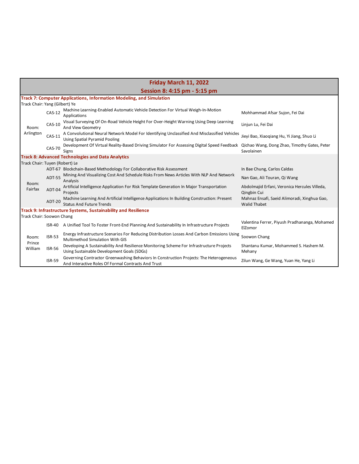| Friday March 11, 2022          |               |                                                                                                                                                |                                                                     |  |
|--------------------------------|---------------|------------------------------------------------------------------------------------------------------------------------------------------------|---------------------------------------------------------------------|--|
|                                |               | Session 8: 4:15 pm - 5:15 pm                                                                                                                   |                                                                     |  |
|                                |               | <b>Track 7: Computer Applications, Information Modeling, and Simulation</b>                                                                    |                                                                     |  |
| Track Chair: Yang (Gilbert) Ye |               |                                                                                                                                                |                                                                     |  |
|                                | $CAS-12$      | Machine Learning-Enabled Automatic Vehicle Detection For Virtual Weigh-In-Motion<br>Applications                                               | Mohhammad Afsar Sujon, Fei Dai                                      |  |
| Room:                          | $CAS-10$      | Visual Surveying Of On-Road Vehicle Height For Over-Height Warning Using Deep Learning<br>And View Geometry                                    | Linjun Lu, Fei Dai                                                  |  |
| Arlington                      | $CAS-11$      | A Convolutional Neural Network Model For Identifying Unclassified And Misclassified Vehicles<br><b>Using Spatial Pyramid Pooling</b>           | Jieyi Bao, Xiaoqiang Hu, Yi Jiang, Shuo Li                          |  |
|                                | <b>CAS-70</b> | Development Of Virtual Reality-Based Driving Simulator For Assessing Digital Speed Feedback<br>Signs                                           | Qichao Wang, Dong Zhao, Timothy Gates, Peter<br>Savolainen          |  |
|                                |               | <b>Track 8: Advanced Technologies and Data Analytics</b>                                                                                       |                                                                     |  |
| Track Chair: Tuyen (Robert) Le |               |                                                                                                                                                |                                                                     |  |
|                                |               | ADT-67 Blockchain-Based Methodology For Collaborative Risk Assessment                                                                          | In Bae Chung, Carlos Caldas                                         |  |
| Room:                          | <b>ADT-55</b> | Mining And Visualizing Cost And Schedule Risks From News Articles With NLP And Network<br>Analysis                                             | Nan Gao, Ali Touran, Qi Wang                                        |  |
| Fairfax                        | ADT-04        | Artificial Intelligence Application For Risk Template Generation In Major Transportation<br>Projects                                           | Abdolmajid Erfani, Veronica Hercules Villeda,<br>Qingbin Cui        |  |
|                                | ADT-20        | Machine Learning And Artificial Intelligence Applications In Building Construction: Present<br><b>Status And Future Trends</b>                 | Mahnaz Ensafi, Saeid Alimoradi, Xinghua Gao,<br><b>Walid Thabet</b> |  |
|                                |               | <b>Track 9: Infrastructure Systems, Sustainability and Resilience</b>                                                                          |                                                                     |  |
| Track Chair: Soowon Chang      |               |                                                                                                                                                |                                                                     |  |
|                                | ISR-40        | A Unified Tool To Foster Front-End Planning And Sustainability In Infrastructure Projects                                                      | Valentina Ferrer, Piyush Pradhananga, Mohamed<br>ElZomor            |  |
| Room:<br>Prince<br>William     | $ISR-53$      | Energy Infrastructure Scenarios For Reducing Distribution Losses And Carbon Emissions Using<br>Multimethod Simulation With GIS                 | Soowon Chang                                                        |  |
|                                | <b>ISR-56</b> | Developing A Sustainability And Resilience Monitoring Scheme For Infrastructure Projects<br>Using Sustainable Development Goals (SDGs)         | Shantanu Kumar, Mohammed S. Hashem M.<br>Mehany                     |  |
|                                | <b>ISR-59</b> | Governing Contractor Greenwashing Behaviors In Construction Projects: The Heterogeneous<br>And Interactive Roles Of Formal Contracts And Trust | Zilun Wang, Ge Wang, Yuan He, Yang Li                               |  |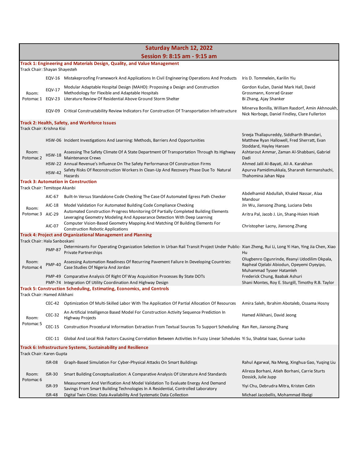|                                                                |               | <b>Saturday March 12, 2022</b>                                                                                                                                                   |                                                                                                                        |  |  |
|----------------------------------------------------------------|---------------|----------------------------------------------------------------------------------------------------------------------------------------------------------------------------------|------------------------------------------------------------------------------------------------------------------------|--|--|
|                                                                |               | Session 9: 8:15 am - 9:15 am                                                                                                                                                     |                                                                                                                        |  |  |
| Track Chair: Shayan Shayesteh                                  |               | Track 1: Engineering and Materials Design, Quality, and Value Management                                                                                                         |                                                                                                                        |  |  |
|                                                                |               | EQV-16 Mistakeproofing Framework And Applications In Civil Engineering Operations And Products                                                                                   | Iris D. Tommelein, Karilin Yiu                                                                                         |  |  |
| Room:                                                          | <b>EQV-17</b> | Modular Adaptable Hospital Design (MAHD): Proposing a Design and Construction<br>Methodology for Flexible and Adaptable Hospitals                                                | Gordon Kučan, Daniel Mark Hall, David<br>Grossmann, Konrad Graser                                                      |  |  |
| Potomac 1 EQV-23                                               |               | Literature Review Of Residential Above Ground Storm Shelter                                                                                                                      | Bi Zhang, Ajay Shanker                                                                                                 |  |  |
|                                                                |               | EQV-09 Critical Constructability Review Indicators For Construction Of Transportation Infrastructure                                                                             | Minerva Bonilla, William Rasdorf, Amin Akhnoukh,<br>Nick Norboge, Daniel Findley, Clare Fullerton                      |  |  |
|                                                                |               | Track 2: Health, Safety, and Workforce Issues                                                                                                                                    |                                                                                                                        |  |  |
| Track Chair: Krishna Kisi                                      |               |                                                                                                                                                                                  | Sreeja Thallapureddy, Siddharth Bhandari,                                                                              |  |  |
|                                                                |               | HSW-06 Incident Investigations And Learning: Methods, Barriers And Opportunities                                                                                                 | Matthew Ryan Hallowell, Fred Sherratt, Evan<br>Stoddard, Hayley Hansen                                                 |  |  |
| Room:<br>Potomac <sub>2</sub>                                  | <b>HSW-18</b> | Assessing The Safety Climate Of A State Department Of Transportation Through Its Highway<br><b>Maintenance Crews</b>                                                             | Ashtarout Ammar, Zaman Al-Shabbani, Gabriel<br>Dadi                                                                    |  |  |
|                                                                | <b>HSW-42</b> | HSW-22 Annual Revenue's Influence On The Safety Performance Of Construction Firms<br>Safety Risks Of Reconstruction Workers In Clean-Up And Recovery Phase Due To Natural        | Ahmed Jalil Al-Bayati, Ali A. Karakhan<br>Apurva Pamidimukkala, Sharareh Kermanshachi,                                 |  |  |
|                                                                |               | Hazards<br>Track 3: Automation in Construction                                                                                                                                   | Thahomina Jahan Nipa                                                                                                   |  |  |
| Track Chair: Temitope Akanbi                                   |               |                                                                                                                                                                                  |                                                                                                                        |  |  |
|                                                                | AIC-67        | Built-In Versus Standalone Code Checking The Case Of Automated Egress Path Checker                                                                                               | Abdelhamid Abdullah, Khaled Nassar, Alaa<br>Mandour                                                                    |  |  |
| Room:                                                          | AIC-18        | Model Validation For Automated Building Code Compliance Checking                                                                                                                 | Jin Wu, Jiansong Zhang, Luciana Debs                                                                                   |  |  |
| Potomac 3 AIC-29                                               |               | Automated Construction Progress Monitoring Of Partially Completed Building Elements<br>Leveraging Geometry Modeling And Appearance Detection With Deep Learning                  | Aritra Pal, Jacob J. Lin, Shang-Hsien Hsieh                                                                            |  |  |
|                                                                | AIC-07        | Computer Vision-Based Geometry Mapping And Matching Of Building Elements For<br><b>Construction Robotic Applications</b>                                                         | Christopher Lacny, Jiansong Zhang                                                                                      |  |  |
|                                                                |               | Track 4: Project and Organizational Management and Planning                                                                                                                      |                                                                                                                        |  |  |
| Track Chair: Hala Sanboskani                                   |               |                                                                                                                                                                                  |                                                                                                                        |  |  |
|                                                                | <b>PMP-87</b> | Determinants For Operating Organization Selection In Urban Rail Transit Project Under Public-Xian Zheng, Rui Li, Long Yi Han, Ying Jia Chen, Xiao<br><b>Private Partnerships</b> | Hu                                                                                                                     |  |  |
| Room:<br>Potomac <sub>4</sub>                                  | <b>PMP-40</b> | Assessing Automation Readiness Of Recurring Pavement Failure In Developing Countries:<br>Case Studies Of Nigeria And Jordan                                                      | Olugbenro Ogunrinde, Ifeanyi Udodilim Okpala,<br>Rapheal Ojelabi Abiodun, Opeyemi Oyeyipo,<br>Muhammad Tyseer Hatamleh |  |  |
|                                                                |               | PMP-49 Comparative Analysis Of Right Of Way Acquisition Processes By State DOTs<br>PMP-74 Integration Of Utility Coordination And Highway Design                                 | Frederick Chung, Baabak Ashuri<br>Shani Montes, Roy E. Sturgill, Timothy R.B. Taylor                                   |  |  |
|                                                                |               | <b>Track 5: Construction Scheduling, Estimating, Economics, and Controls</b>                                                                                                     |                                                                                                                        |  |  |
| Track Chair: Hamed Alikhani                                    |               |                                                                                                                                                                                  |                                                                                                                        |  |  |
|                                                                |               | CEC-42 Optimization Of Multi-Skilled Labor With The Application Of Partial Allocation Of Resources Amira Saleh, Ibrahim Abotaleb, Ossama Hosny                                   |                                                                                                                        |  |  |
| Room:                                                          | $CEC-32$      | An Artificial Intelligence Based Model For Construction Activity Sequence Prediction In<br><b>Highway Projects</b>                                                               | Hamed Alikhani, David Jeong                                                                                            |  |  |
| Potomac 5                                                      | CEC-15        | Construction Procedural Information Extraction From Textual Sources To Support Scheduling Ran Ren, Jiansong Zhang                                                                |                                                                                                                        |  |  |
|                                                                | CEC-11        | Global And Local Risk Factors Causing Correlation Between Activities In Fuzzy Linear Schedules Yi Su, Shabtai Isaac, Gunnar Lucko                                                |                                                                                                                        |  |  |
| Track 6: Infrastructure Systems, Sustainability and Resilience |               |                                                                                                                                                                                  |                                                                                                                        |  |  |
| Track Chair: Karen Gupta                                       |               |                                                                                                                                                                                  |                                                                                                                        |  |  |
|                                                                | <b>ISR-08</b> | Graph-Based Simulation For Cyber-Physical Attacks On Smart Buildings                                                                                                             | Rahul Agarwal, Na Meng, Xinghua Gao, Yuging Liu                                                                        |  |  |
| Room:<br>Potomac <sub>6</sub>                                  | <b>ISR-30</b> | Smart Building Conceptualization: A Comparative Analysis Of Literature And Standards                                                                                             | Alireza Borhani, Atieh Borhani, Carrie Sturts<br>Dossick, Julie Jupp                                                   |  |  |
|                                                                | <b>ISR-39</b> | Measurement And Verification And Model Validation To Evaluate Energy And Demand<br>Savings From Smart Building Technologies In A Residential, Controlled Laboratory              | Yiyi Chu, Debrudra Mitra, Kristen Cetin                                                                                |  |  |
|                                                                | ISR-48        | Digital Twin Cities: Data Availability And Systematic Data Collection                                                                                                            | Michael Jacobellis, Mohammad Ilbeigi                                                                                   |  |  |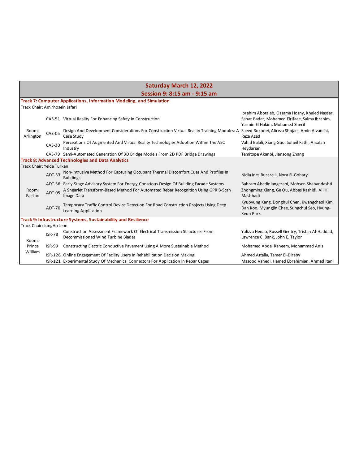|                                |               | <b>Saturday March 12, 2022</b>                                                                                                                          |                                                                                                                                    |
|--------------------------------|---------------|---------------------------------------------------------------------------------------------------------------------------------------------------------|------------------------------------------------------------------------------------------------------------------------------------|
|                                |               | Session 9: 8:15 am - 9:15 am                                                                                                                            |                                                                                                                                    |
|                                |               | <b>Track 7: Computer Applications, Information Modeling, and Simulation</b>                                                                             |                                                                                                                                    |
| Track Chair: Amirhosein Jafari |               |                                                                                                                                                         |                                                                                                                                    |
|                                |               | CAS-51 Virtual Reality For Enhancing Safety In Construction                                                                                             | Ibrahim Abotaleb, Ossama Hosny, Khaled Nassar,<br>Sahar Bader, Mohamed Elrifaee, Salma Ibrahim,<br>Yasmin El Hakim, Mohamed Sherif |
| Room:<br>Arlington             | <b>CAS-05</b> | Design And Development Considerations For Construction Virtual Reality Training Modules: A Saeed Rokooei, Alireza Shojaei, Amin Alvanchi,<br>Case Study | Reza Azad                                                                                                                          |
|                                | $CAS-30$      | Perceptions Of Augmented And Virtual Reality Technologies Adoption Within The AEC<br>Industry                                                           | Vahid Balali, Xiang Guo, Soheil Fathi, Arsalan<br>Heydarian                                                                        |
|                                |               | CAS-79 Semi-Automated Generation Of 3D Bridge Models From 2D PDF Bridge Drawings                                                                        | Temitope Akanbi, Jiansong Zhang                                                                                                    |
|                                |               | <b>Track 8: Advanced Technologies and Data Analytics</b>                                                                                                |                                                                                                                                    |
| Track Chair: Yelda Turkan      |               |                                                                                                                                                         |                                                                                                                                    |
|                                | ADT-33        | Non-Intrusive Method For Capturing Occupant Thermal Discomfort Cues And Profiles In<br><b>Buildings</b>                                                 | Nidia Ines Bucarelli, Nora El-Gohary                                                                                               |
|                                |               | ADT-36 Early-Stage Advisory System For Energy-Conscious Design Of Building Facade Systems                                                               | Bahram Abediniangerabi, Mohsen Shahandashti                                                                                        |
| Room:<br>Fairfax               | <b>ADT-05</b> | A Shearlet Transform-Based Method For Automated Rebar Recognition Using GPR B-Scan<br>Image Data                                                        | Zhongming Xiang, Ge Ou, Abbas Rashidi, Ali H.<br>Mashhadi                                                                          |
|                                | <b>ADT-70</b> | Temporary Traffic Control Device Detection For Road Construction Projects Using Deep<br>Learning Application                                            | Kyubyung Kang, Donghui Chen, Kwangcheol Kim,<br>Dan Koo, Myungjin Chae, Sungchul Seo, Hyung-<br>Keun Park                          |
|                                |               | Track 9: Infrastructure Systems, Sustainability and Resilience                                                                                          |                                                                                                                                    |
| Track Chair: JungHo Jeon       |               |                                                                                                                                                         |                                                                                                                                    |
| Room:                          | <b>ISR-78</b> | Construction Assessment Framework Of Electrical Transmission Structures From<br>Decommissioned Wind Turbine Blades                                      | Yulizza Henao, Russell Gentry, Tristan Al-Haddad,<br>Lawrence C. Bank, John E. Taylor                                              |
| Prince<br>William              | <b>ISR-99</b> | Constructing Electric Conductive Pavement Using A More Sustainable Method                                                                               | Mohamed Abdel Raheem, Mohammad Anis                                                                                                |
|                                |               | ISR-126 Online Engagement Of Facility Users In Rehabilitation Decision Making                                                                           | Ahmed Attalla, Tamer El-Diraby                                                                                                     |
|                                |               | ISR-121 Experimental Study Of Mechanical Connectors For Application In Rebar Cages                                                                      | Masood Vahedi, Hamed Ebrahimian, Ahmad Itani                                                                                       |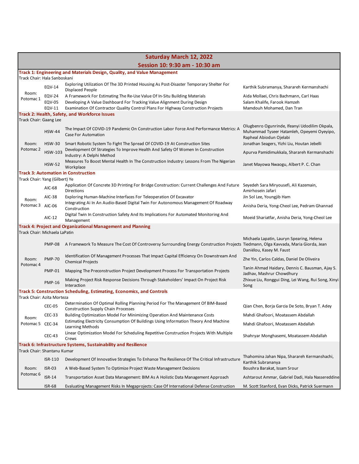| <b>Saturday March 12, 2022</b> |                                          |                                                                                                                                                                                                                                           |                                                                                                                        |  |  |
|--------------------------------|------------------------------------------|-------------------------------------------------------------------------------------------------------------------------------------------------------------------------------------------------------------------------------------------|------------------------------------------------------------------------------------------------------------------------|--|--|
|                                | Session 10: 9:30 am - 10:30 am           |                                                                                                                                                                                                                                           |                                                                                                                        |  |  |
| Track Chair: Hala Sanboskani   |                                          | Track 1: Engineering and Materials Design, Quality, and Value Management                                                                                                                                                                  |                                                                                                                        |  |  |
|                                | EQV-14                                   | Exploring Utilization Of The 3D Printed Housing As Post-Disaster Temporary Shelter For<br><b>Displaced People</b>                                                                                                                         | Karthik Subramanya, Sharareh Kermanshachi                                                                              |  |  |
| Room:<br>Potomac 1             | <b>EQV-24</b><br><b>EQV-05</b><br>EQV-11 | A Framework For Estimating The Re-Use Value Of In-Situ Building Materials<br>Developing A Value Dashboard For Tracking Value Alignment During Design<br>Examination Of Contractor Quality Control Plans For Highway Construction Projects | Aida Mollaei, Chris Bachmann, Carl Haas<br>Salam Khalife, Farook Hamzeh<br>Mamdouh Mohamed, Dan Tran                   |  |  |
|                                |                                          | Track 2: Health, Safety, and Workforce Issues                                                                                                                                                                                             |                                                                                                                        |  |  |
| Track Chair: Gaang Lee         | <b>HSW-44</b>                            | The Impact Of COVID-19 Pandemic On Construction Labor Force And Performance Metrics: A<br><b>Case For Automation</b>                                                                                                                      | Olugbenro Ogunrinde, Ifeanyi Udodilim Okpala,<br>Muhammad Tyseer Hatamleh, Opeyemi Oyeyipo,<br>Rapheal Abiodun Ojelabi |  |  |
| Room:<br>Potomac 2             | $HSW-30$<br><b>HSW-103</b>               | Smart Robotic System To Fight The Spread Of COVID-19 At Construction Sites<br>Development Of Strategies To Improve Health And Safety Of Women In Construction<br>Industry: A Delphi Method                                                | Jonathan Seagers, Yizhi Liu, Houtan Jebelli<br>Apurva Pamidimukkala, Sharareh Kermanshachi                             |  |  |
|                                | <b>HSW-52</b>                            | Measures To Boost Mental Health In The Construction Industry: Lessons From The Nigerian<br>Workplace                                                                                                                                      | Janet Mayowa Nwaogu, Albert P. C. Chan                                                                                 |  |  |
|                                |                                          | <b>Track 3: Automation in Construction</b>                                                                                                                                                                                                |                                                                                                                        |  |  |
| Track Chair: Yang (Gilbert) Ye | AIC-68                                   | Application Of Concrete 3D Printing For Bridge Construction: Current Challenges And Future Seyedeh Sara Miryousefi, Ali Kazemain,<br>Directions                                                                                           | Amirhosein Jafari                                                                                                      |  |  |
| Room:                          | AIC-38                                   | Exploring Human-Machine Interfaces For Teleoperation Of Excavator                                                                                                                                                                         | Jin Sol Lee, Youngjib Ham                                                                                              |  |  |
| Potomac 3 AIC-06               |                                          | Integrating Ai In An Audio-Based Digital Twin For Autonomous Management Of Roadway<br>Construction                                                                                                                                        | Anisha Deria, Yong-Cheol Lee, Pedram Ghannad                                                                           |  |  |
|                                | AIC-12                                   | Digital Twin In Construction Safety And Its Implications For Automated Monitoring And<br>Management                                                                                                                                       | Moeid Shariatfar, Anisha Deria, Yong-Cheol Lee                                                                         |  |  |
|                                |                                          | <b>Track 4: Project and Organizational Management and Planning</b>                                                                                                                                                                        |                                                                                                                        |  |  |
| Track Chair: Michaela LaPatin  | PMP-08                                   | A Framework To Measure The Cost Of Controversy Surrounding Energy Construction Projects Tiedmann, Olga Kavvada, Maria Giorda, Jean                                                                                                        | Michaela Lapatin, Lauryn Spearing, Helena<br>Daniélou, Kasey M. Faust                                                  |  |  |
| Room:                          | <b>PMP-70</b>                            | Identification Of Management Processes That Impact Capital Efficiency On Downstream And<br><b>Chemical Projects</b>                                                                                                                       | Zhe Yin, Carlos Caldas, Daniel De Oliveira                                                                             |  |  |
| Potomac 4                      | <b>PMP-01</b>                            | Mapping The Preconstruction Project Development Process For Transportation Projects                                                                                                                                                       | Tanin Ahmad Haidary, Dennis C. Bausman, Ajay S.<br>Jadhav, Mashrur Chowdhury                                           |  |  |
|                                | <b>PMP-16</b>                            | Making Project Risk Response Decisions Through Stakeholders' Impact On Project Risk<br>Interaction                                                                                                                                        | Zhixue Liu, Ronggui Ding, Lei Wang, Rui Song, Xinyi<br>Song                                                            |  |  |
|                                |                                          | <b>Track 5: Construction Scheduling, Estimating, Economics, and Controls</b>                                                                                                                                                              |                                                                                                                        |  |  |
| Track Chair: Azita Morteza     |                                          | Determination Of Optimal Rolling Planning Period For The Management Of BIM-Based                                                                                                                                                          |                                                                                                                        |  |  |
|                                | <b>CEC-05</b>                            | <b>Construction Supply Chain Processes</b>                                                                                                                                                                                                | Qian Chen, Borja Garcia De Soto, Bryan T. Adey                                                                         |  |  |
| Room:                          | CEC-33                                   | Building Optimization Model For Minimizing Operation And Maintenance Costs<br>Estimating Electricity Consumption Of Buildings Using Information Theory And Machine                                                                        | Mahdi Ghafoori, Moatassem Abdallah                                                                                     |  |  |
| Potomac 5 CEC-34               |                                          | Learning Methods                                                                                                                                                                                                                          | Mahdi Ghafoori, Moatassem Abdallah                                                                                     |  |  |
|                                | <b>CEC-43</b>                            | Linear Optimization Model For Scheduling Repetitive Construction Projects With Multiple<br>Crews                                                                                                                                          | Shahryar Monghasemi, Moatassem Abdallah                                                                                |  |  |
| Track Chair: Shantanu Kumar    |                                          | Track 6: Infrastructure Systems, Sustainability and Resilience                                                                                                                                                                            |                                                                                                                        |  |  |
|                                | ISR-110                                  | Development Of Innovative Strategies To Enhance The Resilience Of The Critical Infrastructure                                                                                                                                             | Thahomina Jahan Nipa, Sharareh Kermanshachi,                                                                           |  |  |
| Room:                          | $ISR-03$                                 | A Web-Based System To Optimize Project Waste Management Decisions                                                                                                                                                                         | Karthik Subrananya<br>Boushra Barakat, Issam Srour                                                                     |  |  |
| Potomac 6                      | $ISR-14$                                 | Transportation Asset Data Management: BIM As A Holistic Data Management Approach                                                                                                                                                          | Ashtarout Ammar, Gabriel Dadi, Hala Nassereddine                                                                       |  |  |
|                                | <b>ISR-68</b>                            | Evaluating Management Risks In Megaprojects: Case Of International Defense Construction                                                                                                                                                   | M. Scott Stanford, Evan Dicks, Patrick Suermann                                                                        |  |  |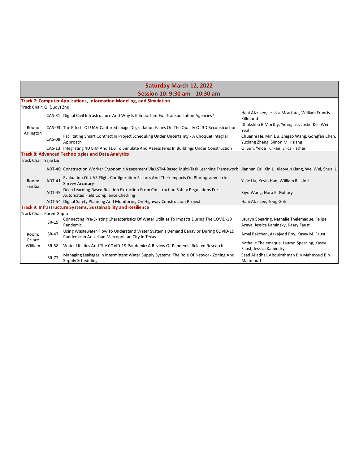|                            |               | <b>Saturday March 12, 2022</b>                                                                                                                     |                                                                                      |
|----------------------------|---------------|----------------------------------------------------------------------------------------------------------------------------------------------------|--------------------------------------------------------------------------------------|
|                            |               | Session 10: 9:30 am - 10:30 am                                                                                                                     |                                                                                      |
|                            |               | <b>Track 7: Computer Applications, Information Modeling, and Simulation</b>                                                                        |                                                                                      |
| Track Chair: Qi (Judy) Zhu |               |                                                                                                                                                    |                                                                                      |
|                            |               | CAS-81 Digital Civil Infrastructure And Why Is It Important For Transportation Agencies?                                                           | Hani Alzraiee, Jessica Mcarthur, William Francis<br>Killmond                         |
| Room:<br>Arlington         |               | CAS-03 The Effects Of UAV-Captured Image Degradation Issues On The Quality Of 3D Reconstruction                                                    | Dhakshna B Morthy, Yiqing Liu, Justin Ker-Wei<br>Yeoh                                |
|                            | CAS-08        | Facilitating Smart Contract In Project Scheduling Under Uncertainty - A Choquet Integral<br>Approach                                               | Chuanni He, Min Liu, Zhigao Wang, Gongfan Chen,<br>Yuxiang Zhang, Simon M. Hsiang    |
|                            |               | CAS-13 Integrating 4D BIM And FDS To Simulate And Assess Fires In Buildings Under Construction                                                     | Qi Sun, Yelda Turkan, Erica Fischer                                                  |
|                            |               | <b>Track 8: Advanced Technologies and Data Analytics</b>                                                                                           |                                                                                      |
| Track Chair: Yajie Liu     |               |                                                                                                                                                    |                                                                                      |
|                            |               | ADT-40 Construction Worker Ergonomic Assessment Via LSTM-Based Multi-Task Learning Framework Jiannan Cai, Xin Li, Xiaoyun Liang, Wei Wei, Shuai Li |                                                                                      |
| Room:<br>Fairfax           | ADT-41        | Evaluation Of UAS Flight Configuration Factors And Their Impacts On Photogrammetric<br><b>Survey Accuracy</b>                                      | Yajie Liu, Kevin Han, William Rasdorf                                                |
|                            | ADT-49        | Deep Learning-Based Relation Extraction From Construction Safety Regulations For<br>Automated Field Compliance Checking                            | Xiyu Wang, Nora El-Gohary                                                            |
|                            |               | ADT-54 Digital Safety Planning And Monitoring On Highway Construction Project                                                                      | Hani Alzraiee, Tong Goh                                                              |
|                            |               | Track 9: Infrastructure Systems, Sustainability and Resilience                                                                                     |                                                                                      |
| Track Chair: Karen Gupta   |               |                                                                                                                                                    |                                                                                      |
|                            | <b>ISR-19</b> | Connecting Pre-Existing Characteristics Of Water Utilities To Impacts During The COVID-19<br>Pandemic                                              | Lauryn Spearing, Nathalie Thelemaque, Felipe<br>Araya, Jessica Kaminsky, Kasey Faust |
| Room:                      | <b>ISR-47</b> | Using Wastewater Flow To Understand Water System's Demand Behavior During COVID-19<br>Pandemic In An Urban Metropolitan City In Texas              | Amal Bakchan, Arkajyoti Roy, Kasey M. Faust                                          |
| Prince<br>William          | <b>ISR-58</b> | Water Utilities And The COVID-19 Pandemic: A Review Of Pandemic-Related Research                                                                   | Nathalie Thelemaque, Lauryn Spearing, Kasey<br>Faust, Jessica Kaminsky               |
|                            | <b>ISR-77</b> | Managing Leakages In Intermittent Water Supply Systems: The Role Of Network Zoning And<br>Supply Scheduling                                        | Saad Aljadhai, Abdulrahman Bin Mahmoud Bin<br>Mahmoud                                |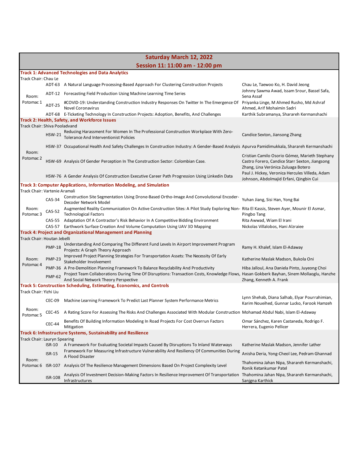| <b>Saturday March 12, 2022</b> |                |                                                                                                                                                                                    |                                                                                               |
|--------------------------------|----------------|------------------------------------------------------------------------------------------------------------------------------------------------------------------------------------|-----------------------------------------------------------------------------------------------|
|                                |                | Session 11: 11:00 am - 12:00 pm                                                                                                                                                    |                                                                                               |
|                                |                | <b>Track 1: Advanced Technologies and Data Analytics</b>                                                                                                                           |                                                                                               |
| Track Chair: Chau Le           |                | ADT-63 A Natural Language Processing-Based Approach For Clustering Construction Projects                                                                                           | Chau Le, Taewoo Ko, H. David Jeong                                                            |
|                                |                |                                                                                                                                                                                    | Johnny Sawma Awad, Issam Srour, Bassel Safa,                                                  |
| Room:                          |                | ADT-12 Forecasting Field Production Using Machine Learning Time Series                                                                                                             | Sena Assaf                                                                                    |
| Potomac 1                      | <b>ADT-25</b>  | #COVID-19: Understanding Construction Industry Responses On Twitter In The Emergence Of Priyanka Linge, M Ahmed Rusho, Md Ashraf<br>Novel Coronavirus                              | Ahmed, Arif Mohaimin Sadri                                                                    |
|                                |                | ADT-68 E-Ticketing Technology In Construction Projects: Adoption, Benefits, And Challenges                                                                                         | Karthik Subramanya, Sharareh Kermanshachi                                                     |
|                                |                | Track 2: Health, Safety, and Workforce Issues                                                                                                                                      |                                                                                               |
| Track Chair: Shiva Pooladvand  |                | Reducing Harassment For Women In The Professional Construction Workplace With Zero-                                                                                                |                                                                                               |
|                                | <b>HSW-21</b>  | <b>Tolerance And Interventionist Policies</b>                                                                                                                                      | Candice Sexton, Jiansong Zhang                                                                |
|                                |                | HSW-37 Occupational Health And Safety Challenges In Construction Industry: A Gender-Based Analysis Apurva Pamidimukkala, Sharareh Kermanshachi                                     |                                                                                               |
| Room:<br>Potomac 2             |                |                                                                                                                                                                                    | Cristian Camilo Osorio Gómez, Marieth Stephany                                                |
|                                |                | HSW-69 Analysis Of Gender Perception In The Construction Sector: Colombian Case.                                                                                                   | Castro Forero, Candice Starr Sexton, Jiangsong                                                |
|                                |                |                                                                                                                                                                                    | Zhang, Lina Verónica Zuluaga Botero<br>Paul J. Hickey, Veronica Hercules Villeda, Adam        |
|                                |                | HSW-76 A Gender Analysis Of Construction Executive Career Path Progression Using Linkedin Data                                                                                     | Johnson, Abdolmajid Erfani, Qingbin Cui                                                       |
|                                |                | <b>Track 3: Computer Applications, Information Modeling, and Simulation</b>                                                                                                        |                                                                                               |
| Track Chair: Vartenie Aramali  |                | Construction Site Segmentation Using Drone-Based Ortho-Image And Convolutional Encoder-                                                                                            |                                                                                               |
|                                | CAS-34         | Decoder Network Model                                                                                                                                                              | Yuhan Jiang, Sisi Han, Yong Bai                                                               |
| Room:<br>Potomac <sub>3</sub>  | CAS-52         | Augmented Reality Communication On Active Construction Sites: A Pilot Study Exploring Non- Rita El Kassis, Steven Ayer, Mounir El Asmar,<br><b>Technological Factors</b>           | Pingbo Tang                                                                                   |
|                                |                | CAS-55 Adaptation Of A Contractor's Risk Behavior In A Competitive Bidding Environment                                                                                             | Rita Awwad, Wiam El Irani                                                                     |
|                                |                | CAS-57 Earthwork Surface Creation And Volume Computation Using UAV 3D Mapping                                                                                                      | Nickolas Villalobos, Hani Alzraiee                                                            |
| Track Chair: Houtan Jebelli    |                | <b>Track 4: Project and Organizational Management and Planning</b>                                                                                                                 |                                                                                               |
|                                | <b>PMP-18</b>  | Understanding And Comparing The Different Fund Levels In Airport Improvement Program<br>Projects: A Graph Theory Approach                                                          | Ramy H. Khalef, Islam El-Adaway                                                               |
| Room:                          | <b>PMP-23</b>  | Improved Project Planning Strategies For Transportation Assets: The Necessity Of Early<br>Stakeholder Involvement                                                                  | Katherine Maslak Madson, Bukola Oni                                                           |
| Potomac 4                      |                | PMP-36 A Pre-Demolition Planning Framework To Balance Recyclability And Productivity                                                                                               | Hiba Jalloul, Ana Daniela Pinto, Juyeong Choi                                                 |
|                                | <b>PMP-62</b>  | Project Team Collaborations During Time Of Disruptions: Transaction Costs, Knowledge Flows, Hasan Gokberk Bayhan, Sinem Mollaoglu, Hanzhe<br>And Social Network Theory Perspective | Zhang, Kenneth A. Frank                                                                       |
|                                |                | Track 5: Construction Scheduling, Estimating, Economics, and Controls                                                                                                              |                                                                                               |
| Track Chair: Yizhi Liu         |                |                                                                                                                                                                                    |                                                                                               |
|                                | CEC-09         | Machine Learning Framework To Predict Last Planner System Performance Metrics                                                                                                      | Lynn Shehab, Diana Salhab, Elyar Pourrahimian,<br>Karim Noueihed, Gunnar Lucko, Farook Hamzeh |
| Room:<br>Potomac <sub>5</sub>  |                | CEC-45 A Rating Score For Assessing The Risks And Challenges Associated With Modular Construction Mohamad Abdul Nabi, Islam El-Adaway                                              |                                                                                               |
|                                | <b>CEC-44</b>  | Benefits Of Building Information Modeling In Road Projects For Cost Overrun Factors<br>Mitigation                                                                                  | Omar Sánchez, Karen Castaneda, Rodrigo F.<br>Herrera, Eugenio Pellicer                        |
|                                |                | Track 6: Infrastructure Systems, Sustainability and Resilience                                                                                                                     |                                                                                               |
| Track Chair: Lauryn Spearing   | $ISR-10$       | A Framework For Evaluating Societal Impacts Caused By Disruptions To Inland Waterways                                                                                              | Katherine Maslak Madson, Jennifer Lather                                                      |
|                                | <b>ISR-15</b>  | Framework For Measuring Infrastructure Vulnerability And Resiliency Of Communities During                                                                                          | Anisha Deria, Yong-Cheol Lee, Pedram Ghannad                                                  |
| Room:                          |                | A Flood Disaster                                                                                                                                                                   |                                                                                               |
| Potomac 6                      |                | ISR-107 Analysis Of The Resilience Management Dimensions Based On Project Complexity Level                                                                                         | Thahomina Jahan Nipa, Sharareh Kermanshachi,<br>Ronik Ketankumar Patel                        |
|                                | <b>ISR-108</b> | Analysis Of Investment Decision-Making Factors In Resilience Improvement Of Transportation Thahomina Jahan Nipa, Sharareh Kermanshachi,<br>Infrastructures                         | Sanjgna Karthick                                                                              |